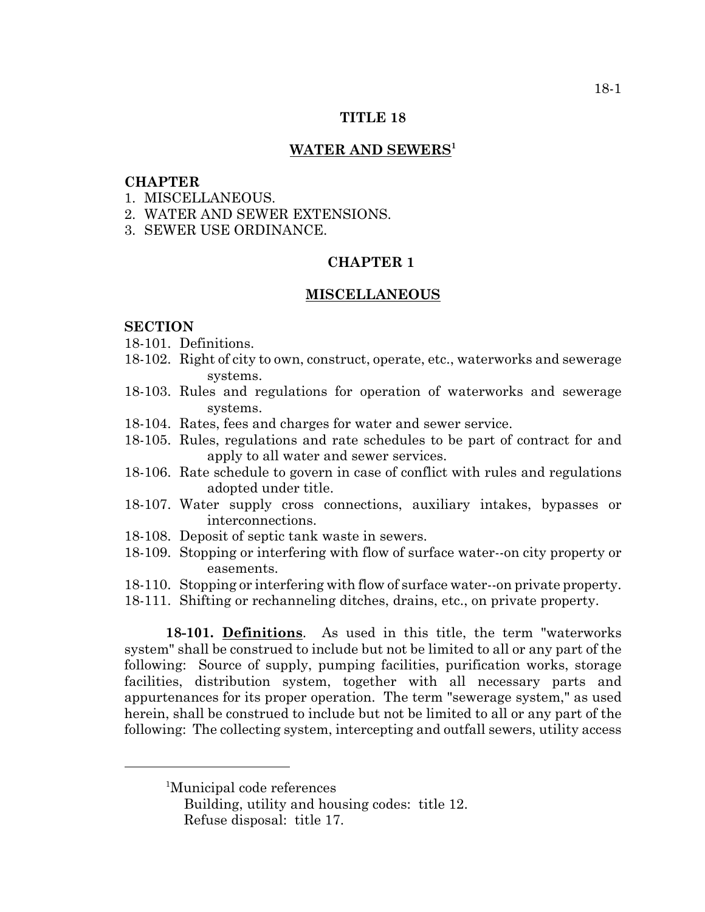#### **TITLE 18**

## **WATER AND SEWERS1**

#### **CHAPTER**

- 1. MISCELLANEOUS.
- 2. WATER AND SEWER EXTENSIONS.
- 3. SEWER USE ORDINANCE.

#### **CHAPTER 1**

#### **MISCELLANEOUS**

#### **SECTION**

- 18-101. Definitions.
- 18-102. Right of city to own, construct, operate, etc., waterworks and sewerage systems.
- 18-103. Rules and regulations for operation of waterworks and sewerage systems.
- 18-104. Rates, fees and charges for water and sewer service.
- 18-105. Rules, regulations and rate schedules to be part of contract for and apply to all water and sewer services.
- 18-106. Rate schedule to govern in case of conflict with rules and regulations adopted under title.
- 18-107. Water supply cross connections, auxiliary intakes, bypasses or interconnections.
- 18-108. Deposit of septic tank waste in sewers.
- 18-109. Stopping or interfering with flow of surface water--on city property or easements.
- 18-110. Stopping or interfering with flow of surface water--on private property.
- 18-111. Shifting or rechanneling ditches, drains, etc., on private property.

**18-101. Definitions**. As used in this title, the term "waterworks system" shall be construed to include but not be limited to all or any part of the following: Source of supply, pumping facilities, purification works, storage facilities, distribution system, together with all necessary parts and appurtenances for its proper operation. The term "sewerage system," as used herein, shall be construed to include but not be limited to all or any part of the following: The collecting system, intercepting and outfall sewers, utility access

<sup>&</sup>lt;sup>1</sup>Municipal code references

Building, utility and housing codes: title 12. Refuse disposal: title 17.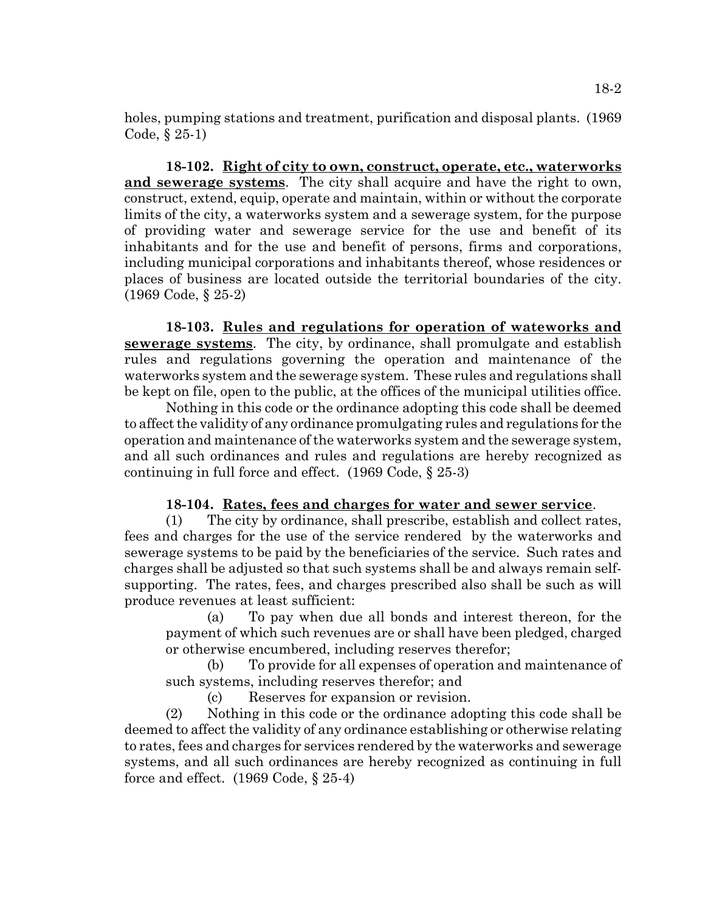holes, pumping stations and treatment, purification and disposal plants. (1969 Code, § 25-1)

**18-102. Right of city to own, construct, operate, etc., waterworks and sewerage systems**. The city shall acquire and have the right to own, construct, extend, equip, operate and maintain, within or without the corporate limits of the city, a waterworks system and a sewerage system, for the purpose of providing water and sewerage service for the use and benefit of its inhabitants and for the use and benefit of persons, firms and corporations, including municipal corporations and inhabitants thereof, whose residences or places of business are located outside the territorial boundaries of the city. (1969 Code, § 25-2)

**18-103. Rules and regulations for operation of wateworks and sewerage systems**. The city, by ordinance, shall promulgate and establish rules and regulations governing the operation and maintenance of the waterworks system and the sewerage system. These rules and regulations shall be kept on file, open to the public, at the offices of the municipal utilities office.

Nothing in this code or the ordinance adopting this code shall be deemed to affect the validity of any ordinance promulgating rules and regulations for the operation and maintenance of the waterworks system and the sewerage system, and all such ordinances and rules and regulations are hereby recognized as continuing in full force and effect. (1969 Code, § 25-3)

# **18-104. Rates, fees and charges for water and sewer service**.

(1) The city by ordinance, shall prescribe, establish and collect rates, fees and charges for the use of the service rendered by the waterworks and sewerage systems to be paid by the beneficiaries of the service. Such rates and charges shall be adjusted so that such systems shall be and always remain selfsupporting. The rates, fees, and charges prescribed also shall be such as will produce revenues at least sufficient:

(a) To pay when due all bonds and interest thereon, for the payment of which such revenues are or shall have been pledged, charged or otherwise encumbered, including reserves therefor;

(b) To provide for all expenses of operation and maintenance of such systems, including reserves therefor; and

(c) Reserves for expansion or revision.

(2) Nothing in this code or the ordinance adopting this code shall be deemed to affect the validity of any ordinance establishing or otherwise relating to rates, fees and charges for services rendered by the waterworks and sewerage systems, and all such ordinances are hereby recognized as continuing in full force and effect.  $(1969 \text{ Code}, \S 25-4)$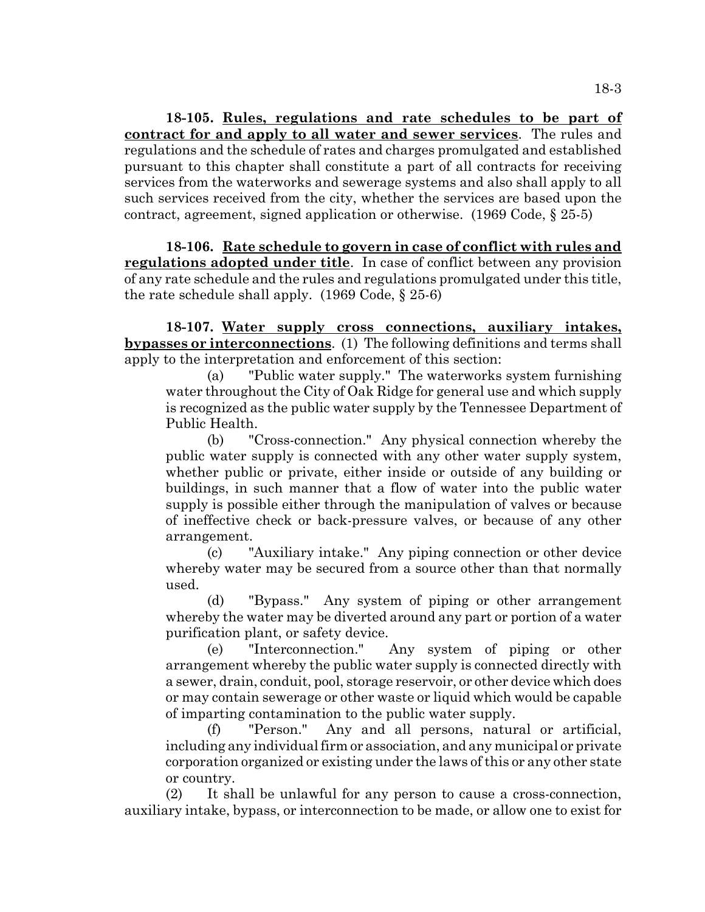**18-105. Rules, regulations and rate schedules to be part of contract for and apply to all water and sewer services**. The rules and regulations and the schedule of rates and charges promulgated and established pursuant to this chapter shall constitute a part of all contracts for receiving services from the waterworks and sewerage systems and also shall apply to all such services received from the city, whether the services are based upon the contract, agreement, signed application or otherwise. (1969 Code, § 25-5)

**18-106. Rate schedule to govern in case of conflict with rules and regulations adopted under title**. In case of conflict between any provision of any rate schedule and the rules and regulations promulgated under this title, the rate schedule shall apply. (1969 Code, § 25-6)

**18-107. Water supply cross connections, auxiliary intakes, bypasses or interconnections**. (1) The following definitions and terms shall apply to the interpretation and enforcement of this section:

(a) "Public water supply." The waterworks system furnishing water throughout the City of Oak Ridge for general use and which supply is recognized as the public water supply by the Tennessee Department of Public Health.

(b) "Cross-connection." Any physical connection whereby the public water supply is connected with any other water supply system, whether public or private, either inside or outside of any building or buildings, in such manner that a flow of water into the public water supply is possible either through the manipulation of valves or because of ineffective check or back-pressure valves, or because of any other arrangement.

(c) "Auxiliary intake." Any piping connection or other device whereby water may be secured from a source other than that normally used.

(d) "Bypass." Any system of piping or other arrangement whereby the water may be diverted around any part or portion of a water purification plant, or safety device.

(e) "Interconnection." Any system of piping or other arrangement whereby the public water supply is connected directly with a sewer, drain, conduit, pool, storage reservoir, or other device which does or may contain sewerage or other waste or liquid which would be capable of imparting contamination to the public water supply.

(f) "Person." Any and all persons, natural or artificial, including any individual firm or association, and any municipal or private corporation organized or existing under the laws of this or any other state or country.

(2) It shall be unlawful for any person to cause a cross-connection, auxiliary intake, bypass, or interconnection to be made, or allow one to exist for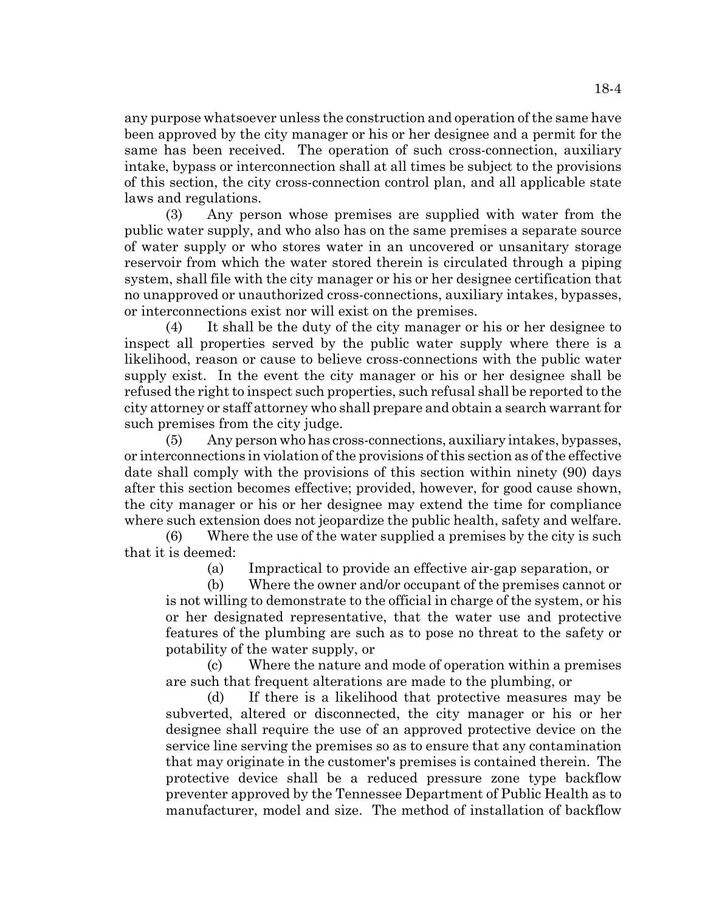any purpose whatsoever unless the construction and operation of the same have been approved by the city manager or his or her designee and a permit for the same has been received. The operation of such cross-connection, auxiliary intake, bypass or interconnection shall at all times be subject to the provisions of this section, the city cross-connection control plan, and all applicable state laws and regulations.

(3) Any person whose premises are supplied with water from the public water supply, and who also has on the same premises a separate source of water supply or who stores water in an uncovered or unsanitary storage reservoir from which the water stored therein is circulated through a piping system, shall file with the city manager or his or her designee certification that no unapproved or unauthorized cross-connections, auxiliary intakes, bypasses, or interconnections exist nor will exist on the premises.

(4) It shall be the duty of the city manager or his or her designee to inspect all properties served by the public water supply where there is a likelihood, reason or cause to believe cross-connections with the public water supply exist. In the event the city manager or his or her designee shall be refused the right to inspect such properties, such refusal shall be reported to the city attorney or staff attorney who shall prepare and obtain a search warrant for such premises from the city judge.

(5) Any person who has cross-connections, auxiliary intakes, bypasses, or interconnections in violation of the provisions of this section as of the effective date shall comply with the provisions of this section within ninety (90) days after this section becomes effective; provided, however, for good cause shown, the city manager or his or her designee may extend the time for compliance where such extension does not jeopardize the public health, safety and welfare.

(6) Where the use of the water supplied a premises by the city is such that it is deemed:

(a) Impractical to provide an effective air-gap separation, or

(b) Where the owner and/or occupant of the premises cannot or is not willing to demonstrate to the official in charge of the system, or his or her designated representative, that the water use and protective features of the plumbing are such as to pose no threat to the safety or potability of the water supply, or

(c) Where the nature and mode of operation within a premises are such that frequent alterations are made to the plumbing, or

(d) If there is a likelihood that protective measures may be subverted, altered or disconnected, the city manager or his or her designee shall require the use of an approved protective device on the service line serving the premises so as to ensure that any contamination that may originate in the customer's premises is contained therein. The protective device shall be a reduced pressure zone type backflow preventer approved by the Tennessee Department of Public Health as to manufacturer, model and size. The method of installation of backflow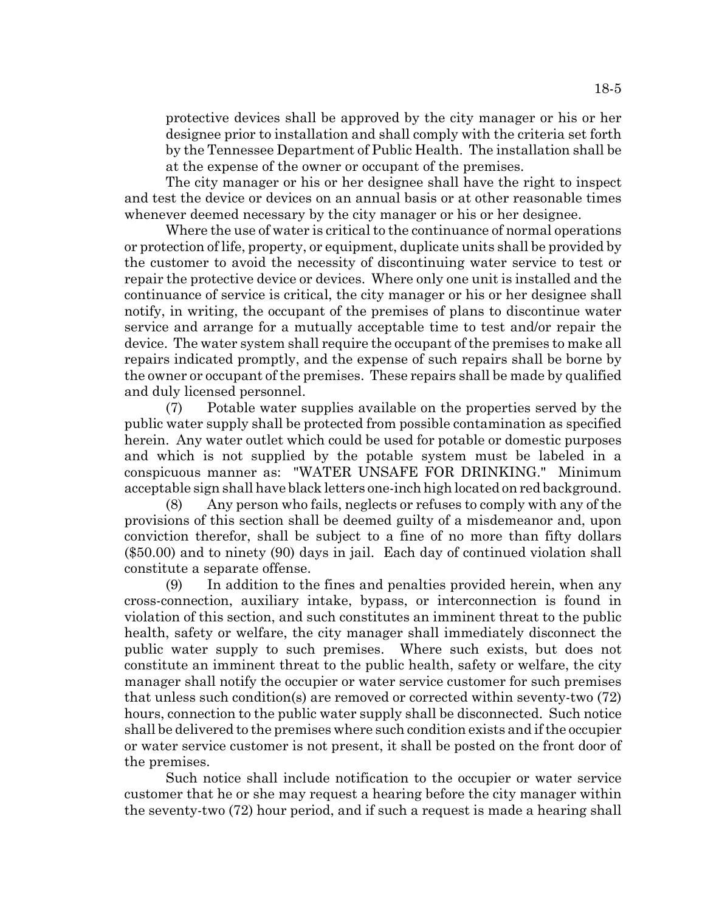protective devices shall be approved by the city manager or his or her designee prior to installation and shall comply with the criteria set forth by the Tennessee Department of Public Health. The installation shall be at the expense of the owner or occupant of the premises.

The city manager or his or her designee shall have the right to inspect and test the device or devices on an annual basis or at other reasonable times whenever deemed necessary by the city manager or his or her designee.

Where the use of water is critical to the continuance of normal operations or protection of life, property, or equipment, duplicate units shall be provided by the customer to avoid the necessity of discontinuing water service to test or repair the protective device or devices. Where only one unit is installed and the continuance of service is critical, the city manager or his or her designee shall notify, in writing, the occupant of the premises of plans to discontinue water service and arrange for a mutually acceptable time to test and/or repair the device. The water system shall require the occupant of the premises to make all repairs indicated promptly, and the expense of such repairs shall be borne by the owner or occupant of the premises. These repairs shall be made by qualified and duly licensed personnel.

(7) Potable water supplies available on the properties served by the public water supply shall be protected from possible contamination as specified herein. Any water outlet which could be used for potable or domestic purposes and which is not supplied by the potable system must be labeled in a conspicuous manner as: "WATER UNSAFE FOR DRINKING." Minimum acceptable sign shall have black letters one-inch high located on red background.

(8) Any person who fails, neglects or refuses to comply with any of the provisions of this section shall be deemed guilty of a misdemeanor and, upon conviction therefor, shall be subject to a fine of no more than fifty dollars (\$50.00) and to ninety (90) days in jail. Each day of continued violation shall constitute a separate offense.

(9) In addition to the fines and penalties provided herein, when any cross-connection, auxiliary intake, bypass, or interconnection is found in violation of this section, and such constitutes an imminent threat to the public health, safety or welfare, the city manager shall immediately disconnect the public water supply to such premises. Where such exists, but does not constitute an imminent threat to the public health, safety or welfare, the city manager shall notify the occupier or water service customer for such premises that unless such condition(s) are removed or corrected within seventy-two (72) hours, connection to the public water supply shall be disconnected. Such notice shall be delivered to the premises where such condition exists and if the occupier or water service customer is not present, it shall be posted on the front door of the premises.

Such notice shall include notification to the occupier or water service customer that he or she may request a hearing before the city manager within the seventy-two (72) hour period, and if such a request is made a hearing shall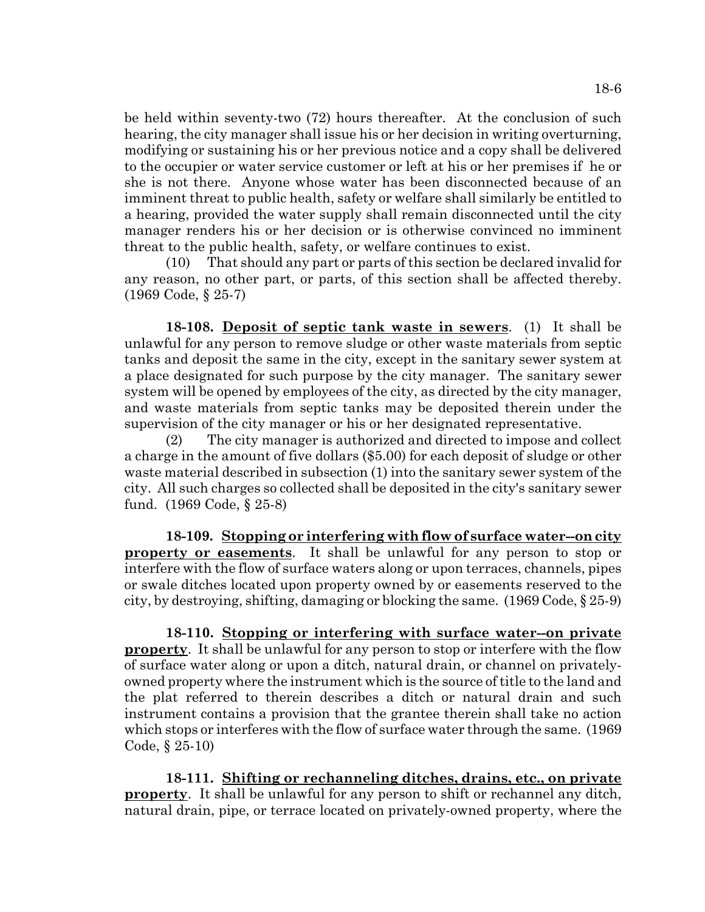be held within seventy-two (72) hours thereafter. At the conclusion of such hearing, the city manager shall issue his or her decision in writing overturning, modifying or sustaining his or her previous notice and a copy shall be delivered to the occupier or water service customer or left at his or her premises if he or she is not there. Anyone whose water has been disconnected because of an imminent threat to public health, safety or welfare shall similarly be entitled to a hearing, provided the water supply shall remain disconnected until the city manager renders his or her decision or is otherwise convinced no imminent threat to the public health, safety, or welfare continues to exist.

(10) That should any part or parts of this section be declared invalid for any reason, no other part, or parts, of this section shall be affected thereby. (1969 Code, § 25-7)

**18-108. Deposit of septic tank waste in sewers**. (1) It shall be unlawful for any person to remove sludge or other waste materials from septic tanks and deposit the same in the city, except in the sanitary sewer system at a place designated for such purpose by the city manager. The sanitary sewer system will be opened by employees of the city, as directed by the city manager, and waste materials from septic tanks may be deposited therein under the supervision of the city manager or his or her designated representative.

(2) The city manager is authorized and directed to impose and collect a charge in the amount of five dollars (\$5.00) for each deposit of sludge or other waste material described in subsection (1) into the sanitary sewer system of the city. All such charges so collected shall be deposited in the city's sanitary sewer fund. (1969 Code, § 25-8)

**18-109. Stopping or interfering with flow of surface water--on city property or easements**. It shall be unlawful for any person to stop or interfere with the flow of surface waters along or upon terraces, channels, pipes or swale ditches located upon property owned by or easements reserved to the city, by destroying, shifting, damaging or blocking the same. (1969 Code, § 25-9)

**18-110. Stopping or interfering with surface water--on private property**. It shall be unlawful for any person to stop or interfere with the flow of surface water along or upon a ditch, natural drain, or channel on privatelyowned property where the instrument which is the source of title to the land and the plat referred to therein describes a ditch or natural drain and such instrument contains a provision that the grantee therein shall take no action which stops or interferes with the flow of surface water through the same. (1969 Code, § 25-10)

**18-111. Shifting or rechanneling ditches, drains, etc., on private property**. It shall be unlawful for any person to shift or rechannel any ditch, natural drain, pipe, or terrace located on privately-owned property, where the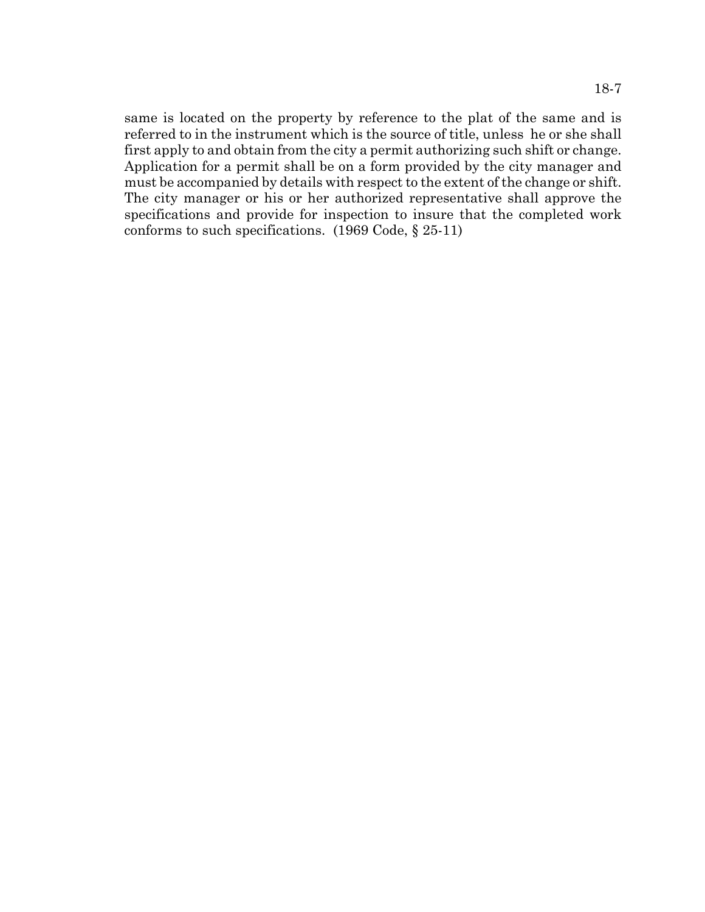same is located on the property by reference to the plat of the same and is referred to in the instrument which is the source of title, unless he or she shall first apply to and obtain from the city a permit authorizing such shift or change. Application for a permit shall be on a form provided by the city manager and must be accompanied by details with respect to the extent of the change or shift. The city manager or his or her authorized representative shall approve the specifications and provide for inspection to insure that the completed work conforms to such specifications. (1969 Code, § 25-11)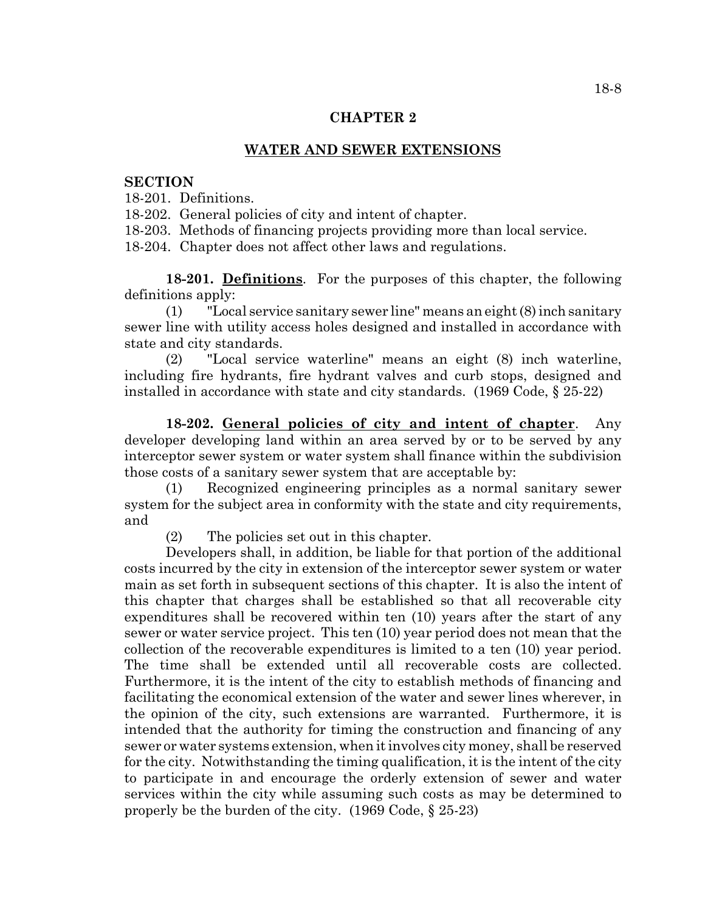#### **CHAPTER 2**

### **WATER AND SEWER EXTENSIONS**

#### **SECTION**

18-201. Definitions.

18-202. General policies of city and intent of chapter.

18-203. Methods of financing projects providing more than local service.

18-204. Chapter does not affect other laws and regulations.

**18-201. Definitions**. For the purposes of this chapter, the following definitions apply:

(1) "Local service sanitary sewer line" means an eight (8) inch sanitary sewer line with utility access holes designed and installed in accordance with state and city standards.

(2) "Local service waterline" means an eight (8) inch waterline, including fire hydrants, fire hydrant valves and curb stops, designed and installed in accordance with state and city standards. (1969 Code, § 25-22)

**18-202. General policies of city and intent of chapter**. Any developer developing land within an area served by or to be served by any interceptor sewer system or water system shall finance within the subdivision those costs of a sanitary sewer system that are acceptable by:

(1) Recognized engineering principles as a normal sanitary sewer system for the subject area in conformity with the state and city requirements, and

(2) The policies set out in this chapter.

Developers shall, in addition, be liable for that portion of the additional costs incurred by the city in extension of the interceptor sewer system or water main as set forth in subsequent sections of this chapter. It is also the intent of this chapter that charges shall be established so that all recoverable city expenditures shall be recovered within ten (10) years after the start of any sewer or water service project. This ten (10) year period does not mean that the collection of the recoverable expenditures is limited to a ten (10) year period. The time shall be extended until all recoverable costs are collected. Furthermore, it is the intent of the city to establish methods of financing and facilitating the economical extension of the water and sewer lines wherever, in the opinion of the city, such extensions are warranted. Furthermore, it is intended that the authority for timing the construction and financing of any sewer or water systems extension, when it involves city money, shall be reserved for the city. Notwithstanding the timing qualification, it is the intent of the city to participate in and encourage the orderly extension of sewer and water services within the city while assuming such costs as may be determined to properly be the burden of the city. (1969 Code, § 25-23)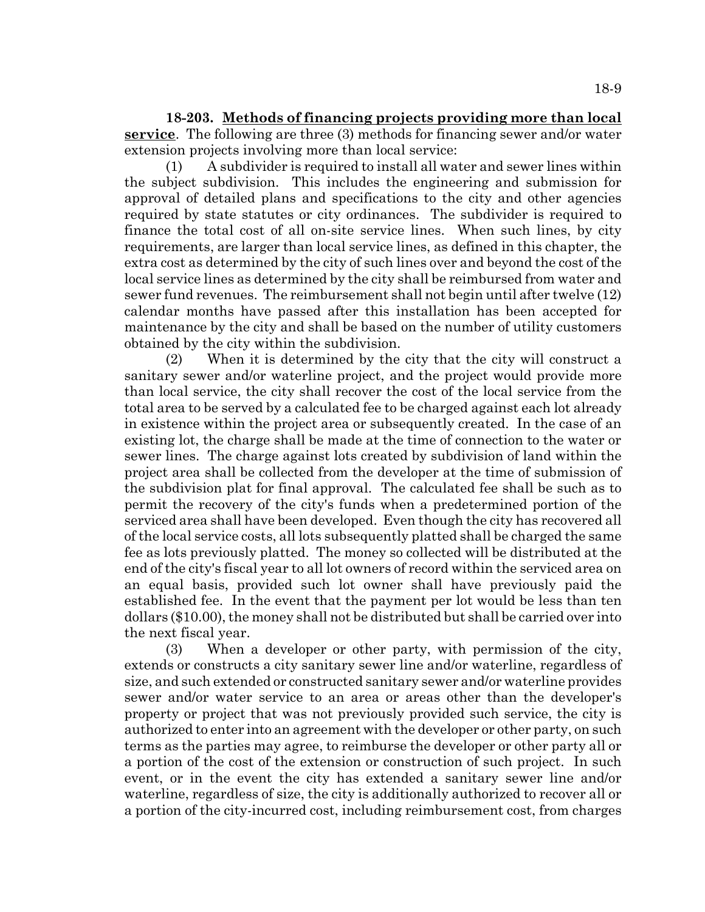**18-203. Methods of financing projects providing more than local service**. The following are three (3) methods for financing sewer and/or water extension projects involving more than local service:

(1) A subdivider is required to install all water and sewer lines within the subject subdivision. This includes the engineering and submission for approval of detailed plans and specifications to the city and other agencies required by state statutes or city ordinances. The subdivider is required to finance the total cost of all on-site service lines. When such lines, by city requirements, are larger than local service lines, as defined in this chapter, the extra cost as determined by the city of such lines over and beyond the cost of the local service lines as determined by the city shall be reimbursed from water and sewer fund revenues. The reimbursement shall not begin until after twelve (12) calendar months have passed after this installation has been accepted for maintenance by the city and shall be based on the number of utility customers obtained by the city within the subdivision.

(2) When it is determined by the city that the city will construct a sanitary sewer and/or waterline project, and the project would provide more than local service, the city shall recover the cost of the local service from the total area to be served by a calculated fee to be charged against each lot already in existence within the project area or subsequently created. In the case of an existing lot, the charge shall be made at the time of connection to the water or sewer lines. The charge against lots created by subdivision of land within the project area shall be collected from the developer at the time of submission of the subdivision plat for final approval. The calculated fee shall be such as to permit the recovery of the city's funds when a predetermined portion of the serviced area shall have been developed. Even though the city has recovered all of the local service costs, all lots subsequently platted shall be charged the same fee as lots previously platted. The money so collected will be distributed at the end of the city's fiscal year to all lot owners of record within the serviced area on an equal basis, provided such lot owner shall have previously paid the established fee. In the event that the payment per lot would be less than ten dollars (\$10.00), the money shall not be distributed but shall be carried over into the next fiscal year.

(3) When a developer or other party, with permission of the city, extends or constructs a city sanitary sewer line and/or waterline, regardless of size, and such extended or constructed sanitary sewer and/or waterline provides sewer and/or water service to an area or areas other than the developer's property or project that was not previously provided such service, the city is authorized to enter into an agreement with the developer or other party, on such terms as the parties may agree, to reimburse the developer or other party all or a portion of the cost of the extension or construction of such project. In such event, or in the event the city has extended a sanitary sewer line and/or waterline, regardless of size, the city is additionally authorized to recover all or a portion of the city-incurred cost, including reimbursement cost, from charges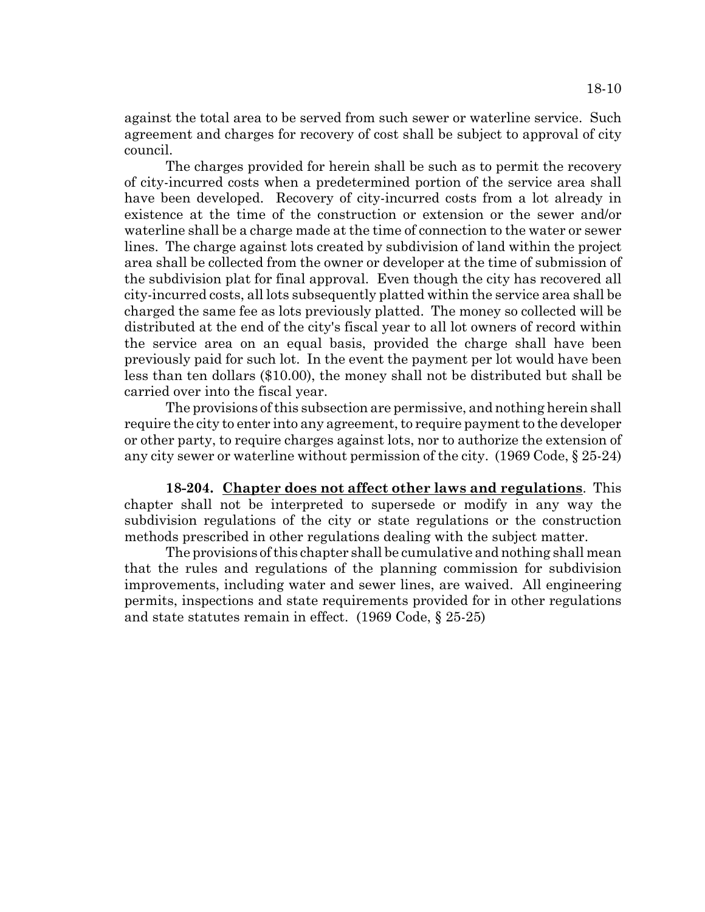against the total area to be served from such sewer or waterline service. Such agreement and charges for recovery of cost shall be subject to approval of city council.

The charges provided for herein shall be such as to permit the recovery of city-incurred costs when a predetermined portion of the service area shall have been developed. Recovery of city-incurred costs from a lot already in existence at the time of the construction or extension or the sewer and/or waterline shall be a charge made at the time of connection to the water or sewer lines. The charge against lots created by subdivision of land within the project area shall be collected from the owner or developer at the time of submission of the subdivision plat for final approval. Even though the city has recovered all city-incurred costs, all lots subsequently platted within the service area shall be charged the same fee as lots previously platted. The money so collected will be distributed at the end of the city's fiscal year to all lot owners of record within the service area on an equal basis, provided the charge shall have been previously paid for such lot. In the event the payment per lot would have been less than ten dollars (\$10.00), the money shall not be distributed but shall be carried over into the fiscal year.

The provisions of this subsection are permissive, and nothing herein shall require the city to enter into any agreement, to require payment to the developer or other party, to require charges against lots, nor to authorize the extension of any city sewer or waterline without permission of the city. (1969 Code, § 25-24)

**18-204. Chapter does not affect other laws and regulations**. This chapter shall not be interpreted to supersede or modify in any way the subdivision regulations of the city or state regulations or the construction methods prescribed in other regulations dealing with the subject matter.

The provisions of this chapter shall be cumulative and nothing shall mean that the rules and regulations of the planning commission for subdivision improvements, including water and sewer lines, are waived. All engineering permits, inspections and state requirements provided for in other regulations and state statutes remain in effect. (1969 Code, § 25-25)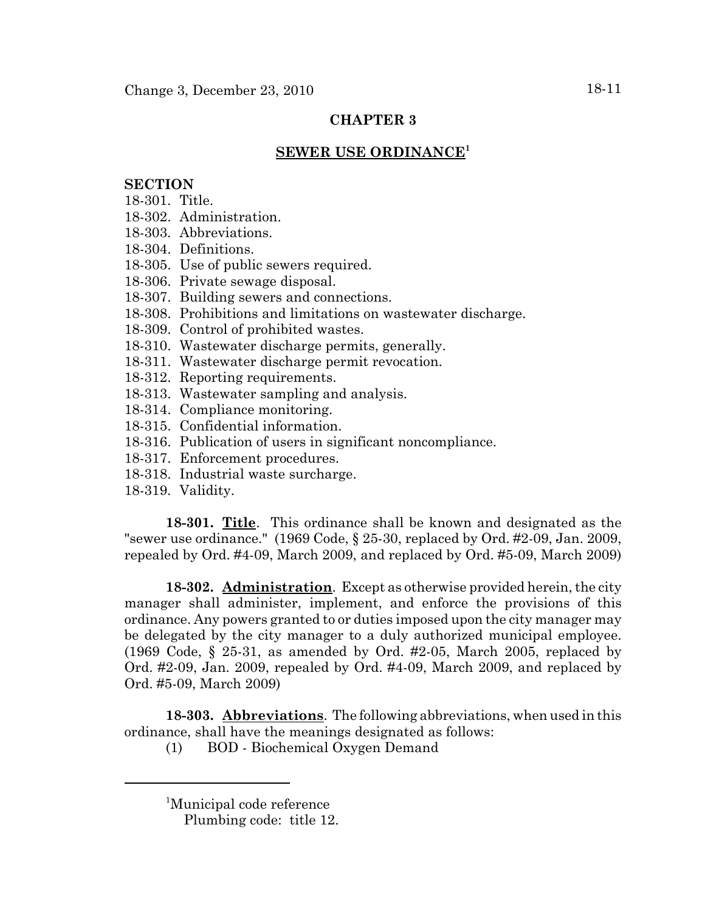## **CHAPTER 3**

## **SEWER USE ORDINANCE<sup>1</sup>**

## **SECTION**

- 18-301. Title.
- 18-302. Administration.
- 18-303. Abbreviations.
- 18-304. Definitions.
- 18-305. Use of public sewers required.
- 18-306. Private sewage disposal.
- 18-307. Building sewers and connections.
- 18-308. Prohibitions and limitations on wastewater discharge.
- 18-309. Control of prohibited wastes.
- 18-310. Wastewater discharge permits, generally.
- 18-311. Wastewater discharge permit revocation.
- 18-312. Reporting requirements.
- 18-313. Wastewater sampling and analysis.
- 18-314. Compliance monitoring.
- 18-315. Confidential information.
- 18-316. Publication of users in significant noncompliance.
- 18-317. Enforcement procedures.
- 18-318. Industrial waste surcharge.
- 18-319. Validity.

**18-301. Title**. This ordinance shall be known and designated as the "sewer use ordinance." (1969 Code, § 25-30, replaced by Ord. #2-09, Jan. 2009, repealed by Ord. #4-09, March 2009, and replaced by Ord. #5-09, March 2009)

**18-302. Administration**. Except as otherwise provided herein, the city manager shall administer, implement, and enforce the provisions of this ordinance. Any powers granted to or duties imposed upon the city manager may be delegated by the city manager to a duly authorized municipal employee. (1969 Code, § 25-31, as amended by Ord. #2-05, March 2005, replaced by Ord. #2-09, Jan. 2009, repealed by Ord. #4-09, March 2009, and replaced by Ord. #5-09, March 2009)

**18-303. Abbreviations**. The following abbreviations, when used in this ordinance, shall have the meanings designated as follows:

(1) BOD - Biochemical Oxygen Demand

<sup>1</sup> Municipal code reference

Plumbing code: title 12.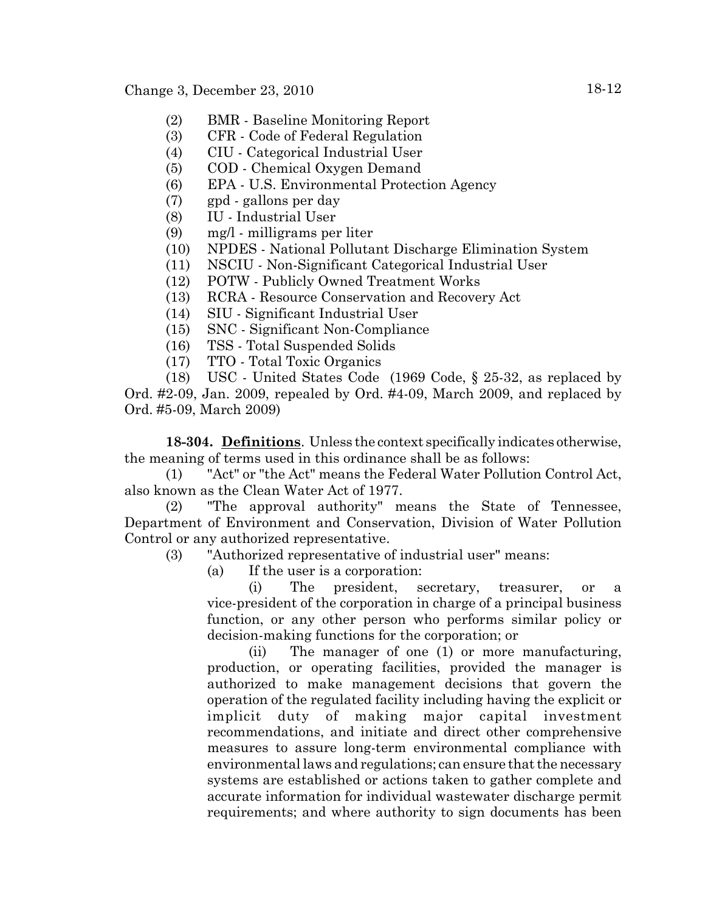- (2) BMR Baseline Monitoring Report
- (3) CFR Code of Federal Regulation
- (4) CIU Categorical Industrial User
- (5) COD Chemical Oxygen Demand
- (6) EPA U.S. Environmental Protection Agency
- (7) gpd gallons per day
- (8) IU Industrial User
- (9) mg/l milligrams per liter
- (10) NPDES National Pollutant Discharge Elimination System
- (11) NSCIU Non-Significant Categorical Industrial User
- (12) POTW Publicly Owned Treatment Works
- (13) RCRA Resource Conservation and Recovery Act
- (14) SIU Significant Industrial User
- (15) SNC Significant Non-Compliance
- (16) TSS Total Suspended Solids
- (17) TTO Total Toxic Organics

(18) USC - United States Code (1969 Code, § 25-32, as replaced by Ord. #2-09, Jan. 2009, repealed by Ord. #4-09, March 2009, and replaced by Ord. #5-09, March 2009)

**18-304. Definitions**. Unless the context specifically indicates otherwise, the meaning of terms used in this ordinance shall be as follows:

(1) "Act" or "the Act" means the Federal Water Pollution Control Act, also known as the Clean Water Act of 1977.

(2) "The approval authority" means the State of Tennessee, Department of Environment and Conservation, Division of Water Pollution Control or any authorized representative.

- (3) "Authorized representative of industrial user" means:
	- (a) If the user is a corporation:

(i) The president, secretary, treasurer, or a vice-president of the corporation in charge of a principal business function, or any other person who performs similar policy or decision-making functions for the corporation; or

(ii) The manager of one (1) or more manufacturing, production, or operating facilities, provided the manager is authorized to make management decisions that govern the operation of the regulated facility including having the explicit or implicit duty of making major capital investment recommendations, and initiate and direct other comprehensive measures to assure long-term environmental compliance with environmental laws and regulations; can ensure that the necessary systems are established or actions taken to gather complete and accurate information for individual wastewater discharge permit requirements; and where authority to sign documents has been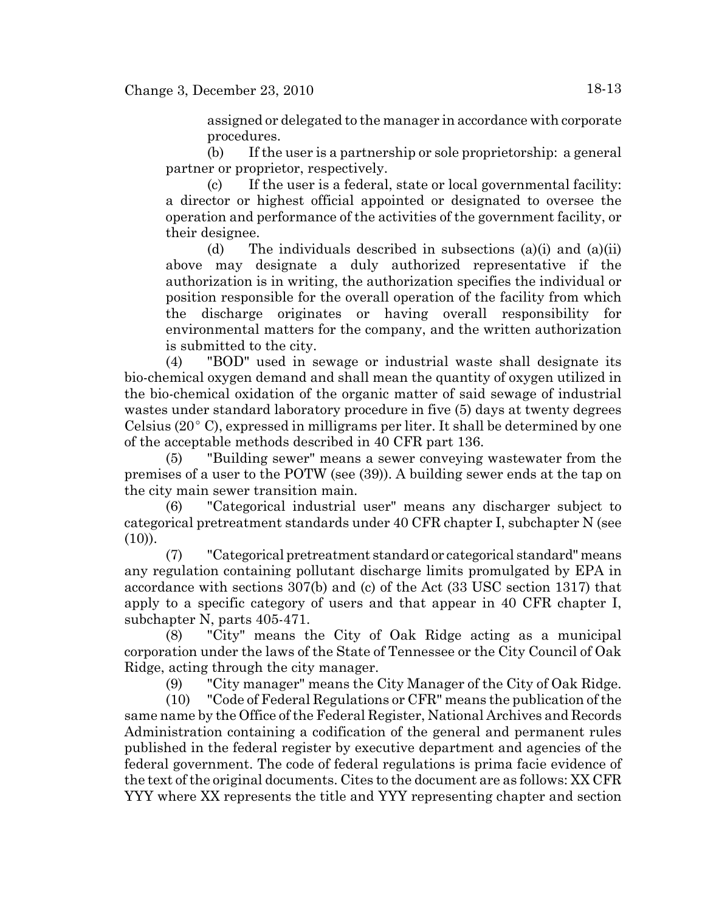assigned or delegated to the manager in accordance with corporate procedures.

(b) If the user is a partnership or sole proprietorship: a general partner or proprietor, respectively.

(c) If the user is a federal, state or local governmental facility: a director or highest official appointed or designated to oversee the operation and performance of the activities of the government facility, or their designee.

(d) The individuals described in subsections (a)(i) and (a)(ii) above may designate a duly authorized representative if the authorization is in writing, the authorization specifies the individual or position responsible for the overall operation of the facility from which the discharge originates or having overall responsibility for environmental matters for the company, and the written authorization is submitted to the city.

(4) "BOD" used in sewage or industrial waste shall designate its bio-chemical oxygen demand and shall mean the quantity of oxygen utilized in the bio-chemical oxidation of the organic matter of said sewage of industrial wastes under standard laboratory procedure in five (5) days at twenty degrees Celsius  $(20^{\circ} \text{ C})$ , expressed in milligrams per liter. It shall be determined by one of the acceptable methods described in 40 CFR part 136.

(5) "Building sewer" means a sewer conveying wastewater from the premises of a user to the POTW (see (39)). A building sewer ends at the tap on the city main sewer transition main.

(6) "Categorical industrial user" means any discharger subject to categorical pretreatment standards under 40 CFR chapter I, subchapter N (see  $(10)$ .

(7) "Categorical pretreatment standard or categorical standard" means any regulation containing pollutant discharge limits promulgated by EPA in accordance with sections 307(b) and (c) of the Act (33 USC section 1317) that apply to a specific category of users and that appear in 40 CFR chapter I, subchapter N, parts 405-471.

(8) "City" means the City of Oak Ridge acting as a municipal corporation under the laws of the State of Tennessee or the City Council of Oak Ridge, acting through the city manager.

(9) "City manager" means the City Manager of the City of Oak Ridge.

(10) "Code of Federal Regulations or CFR" means the publication of the same name by the Office of the Federal Register, National Archives and Records Administration containing a codification of the general and permanent rules published in the federal register by executive department and agencies of the federal government. The code of federal regulations is prima facie evidence of the text of the original documents. Cites to the document are as follows: XX CFR YYY where XX represents the title and YYY representing chapter and section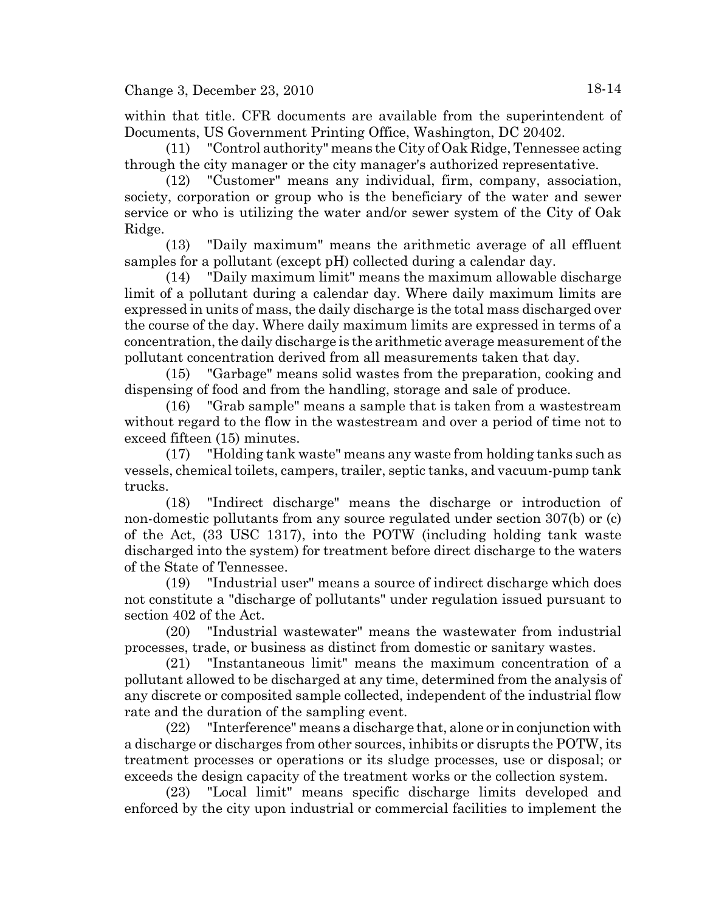within that title. CFR documents are available from the superintendent of Documents, US Government Printing Office, Washington, DC 20402.

(11) "Control authority" means the City of Oak Ridge, Tennessee acting through the city manager or the city manager's authorized representative.

(12) "Customer" means any individual, firm, company, association, society, corporation or group who is the beneficiary of the water and sewer service or who is utilizing the water and/or sewer system of the City of Oak Ridge.

(13) "Daily maximum" means the arithmetic average of all effluent samples for a pollutant (except pH) collected during a calendar day.

(14) "Daily maximum limit" means the maximum allowable discharge limit of a pollutant during a calendar day. Where daily maximum limits are expressed in units of mass, the daily discharge is the total mass discharged over the course of the day. Where daily maximum limits are expressed in terms of a concentration, the daily discharge is the arithmetic average measurement of the pollutant concentration derived from all measurements taken that day.

(15) "Garbage" means solid wastes from the preparation, cooking and dispensing of food and from the handling, storage and sale of produce.

(16) "Grab sample" means a sample that is taken from a wastestream without regard to the flow in the wastestream and over a period of time not to exceed fifteen (15) minutes.

(17) "Holding tank waste" means any waste from holding tanks such as vessels, chemical toilets, campers, trailer, septic tanks, and vacuum-pump tank trucks.

(18) "Indirect discharge" means the discharge or introduction of non-domestic pollutants from any source regulated under section 307(b) or (c) of the Act, (33 USC 1317), into the POTW (including holding tank waste discharged into the system) for treatment before direct discharge to the waters of the State of Tennessee.

(19) "Industrial user" means a source of indirect discharge which does not constitute a "discharge of pollutants" under regulation issued pursuant to section 402 of the Act.

(20) "Industrial wastewater" means the wastewater from industrial processes, trade, or business as distinct from domestic or sanitary wastes.

(21) "Instantaneous limit" means the maximum concentration of a pollutant allowed to be discharged at any time, determined from the analysis of any discrete or composited sample collected, independent of the industrial flow rate and the duration of the sampling event.

(22) "Interference" means a discharge that, alone or in conjunction with a discharge or discharges from other sources, inhibits or disrupts the POTW, its treatment processes or operations or its sludge processes, use or disposal; or exceeds the design capacity of the treatment works or the collection system.

(23) "Local limit" means specific discharge limits developed and enforced by the city upon industrial or commercial facilities to implement the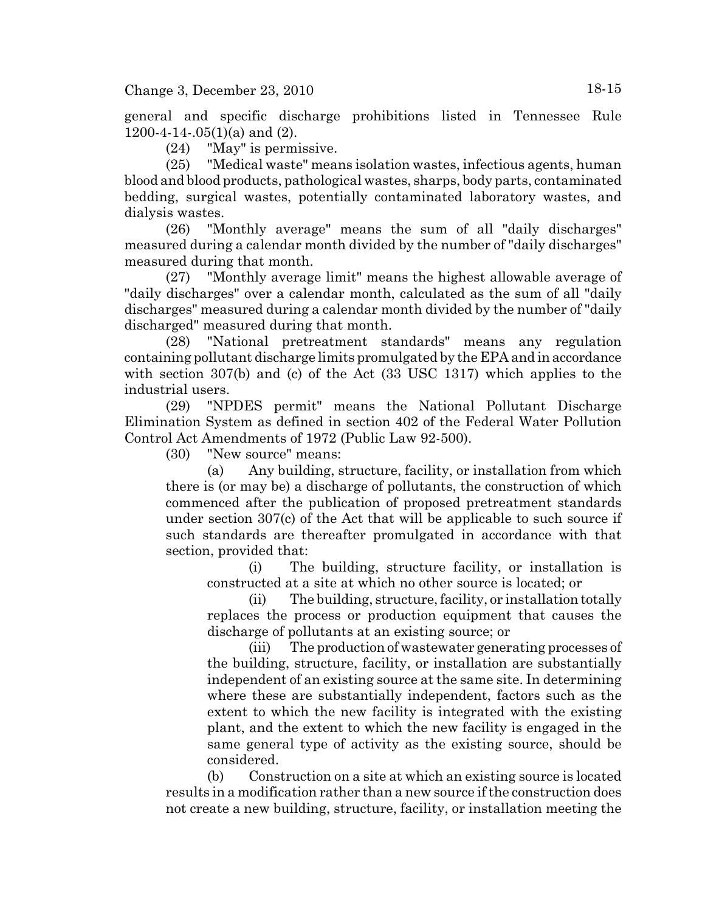general and specific discharge prohibitions listed in Tennessee Rule 1200-4-14-.05(1)(a) and (2).

(24) "May" is permissive.

(25) "Medical waste" means isolation wastes, infectious agents, human blood and blood products, pathological wastes, sharps, body parts, contaminated bedding, surgical wastes, potentially contaminated laboratory wastes, and dialysis wastes.

(26) "Monthly average" means the sum of all "daily discharges" measured during a calendar month divided by the number of "daily discharges" measured during that month.

(27) "Monthly average limit" means the highest allowable average of "daily discharges" over a calendar month, calculated as the sum of all "daily discharges" measured during a calendar month divided by the number of "daily discharged" measured during that month.

(28) "National pretreatment standards" means any regulation containing pollutant discharge limits promulgated by the EPA and in accordance with section 307(b) and (c) of the Act (33 USC 1317) which applies to the industrial users.

(29) "NPDES permit" means the National Pollutant Discharge Elimination System as defined in section 402 of the Federal Water Pollution Control Act Amendments of 1972 (Public Law 92-500).

(30) "New source" means:

(a) Any building, structure, facility, or installation from which there is (or may be) a discharge of pollutants, the construction of which commenced after the publication of proposed pretreatment standards under section 307(c) of the Act that will be applicable to such source if such standards are thereafter promulgated in accordance with that section, provided that:

(i) The building, structure facility, or installation is constructed at a site at which no other source is located; or

(ii) The building, structure, facility, or installation totally replaces the process or production equipment that causes the discharge of pollutants at an existing source; or

(iii) The production of wastewater generating processes of the building, structure, facility, or installation are substantially independent of an existing source at the same site. In determining where these are substantially independent, factors such as the extent to which the new facility is integrated with the existing plant, and the extent to which the new facility is engaged in the same general type of activity as the existing source, should be considered.

(b) Construction on a site at which an existing source is located results in a modification rather than a new source if the construction does not create a new building, structure, facility, or installation meeting the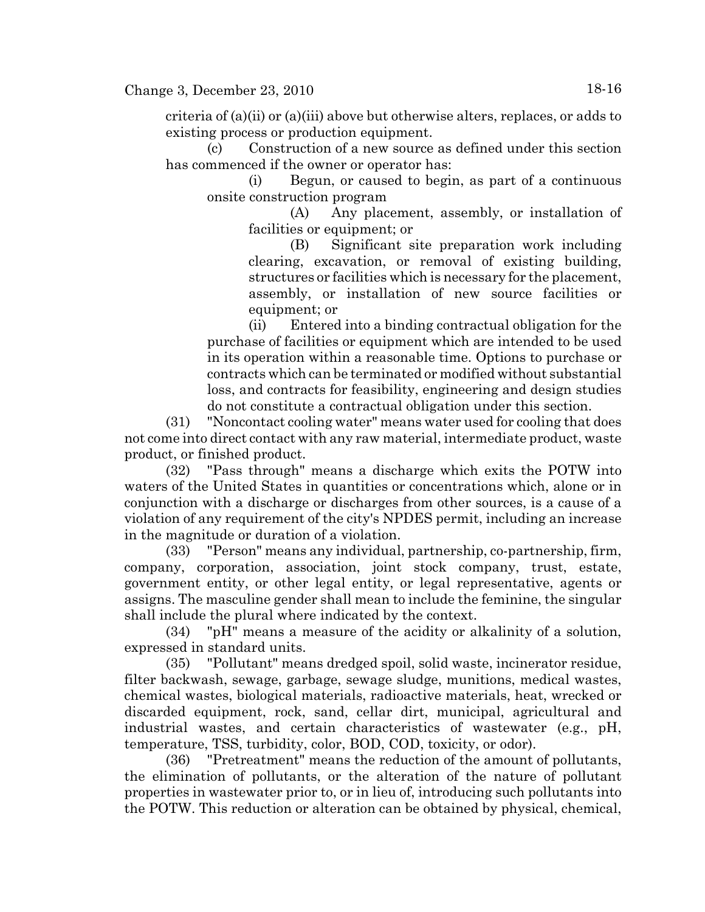criteria of (a)(ii) or (a)(iii) above but otherwise alters, replaces, or adds to existing process or production equipment.

(c) Construction of a new source as defined under this section has commenced if the owner or operator has:

(i) Begun, or caused to begin, as part of a continuous onsite construction program

(A) Any placement, assembly, or installation of facilities or equipment; or

(B) Significant site preparation work including clearing, excavation, or removal of existing building, structures or facilities which is necessary for the placement, assembly, or installation of new source facilities or equipment; or

(ii) Entered into a binding contractual obligation for the purchase of facilities or equipment which are intended to be used in its operation within a reasonable time. Options to purchase or contracts which can be terminated or modified without substantial loss, and contracts for feasibility, engineering and design studies do not constitute a contractual obligation under this section.

(31) "Noncontact cooling water" means water used for cooling that does not come into direct contact with any raw material, intermediate product, waste product, or finished product.

(32) "Pass through" means a discharge which exits the POTW into waters of the United States in quantities or concentrations which, alone or in conjunction with a discharge or discharges from other sources, is a cause of a violation of any requirement of the city's NPDES permit, including an increase in the magnitude or duration of a violation.

(33) "Person" means any individual, partnership, co-partnership, firm, company, corporation, association, joint stock company, trust, estate, government entity, or other legal entity, or legal representative, agents or assigns. The masculine gender shall mean to include the feminine, the singular shall include the plural where indicated by the context.

(34) "pH" means a measure of the acidity or alkalinity of a solution, expressed in standard units.

(35) "Pollutant" means dredged spoil, solid waste, incinerator residue, filter backwash, sewage, garbage, sewage sludge, munitions, medical wastes, chemical wastes, biological materials, radioactive materials, heat, wrecked or discarded equipment, rock, sand, cellar dirt, municipal, agricultural and industrial wastes, and certain characteristics of wastewater (e.g., pH, temperature, TSS, turbidity, color, BOD, COD, toxicity, or odor).

(36) "Pretreatment" means the reduction of the amount of pollutants, the elimination of pollutants, or the alteration of the nature of pollutant properties in wastewater prior to, or in lieu of, introducing such pollutants into the POTW. This reduction or alteration can be obtained by physical, chemical,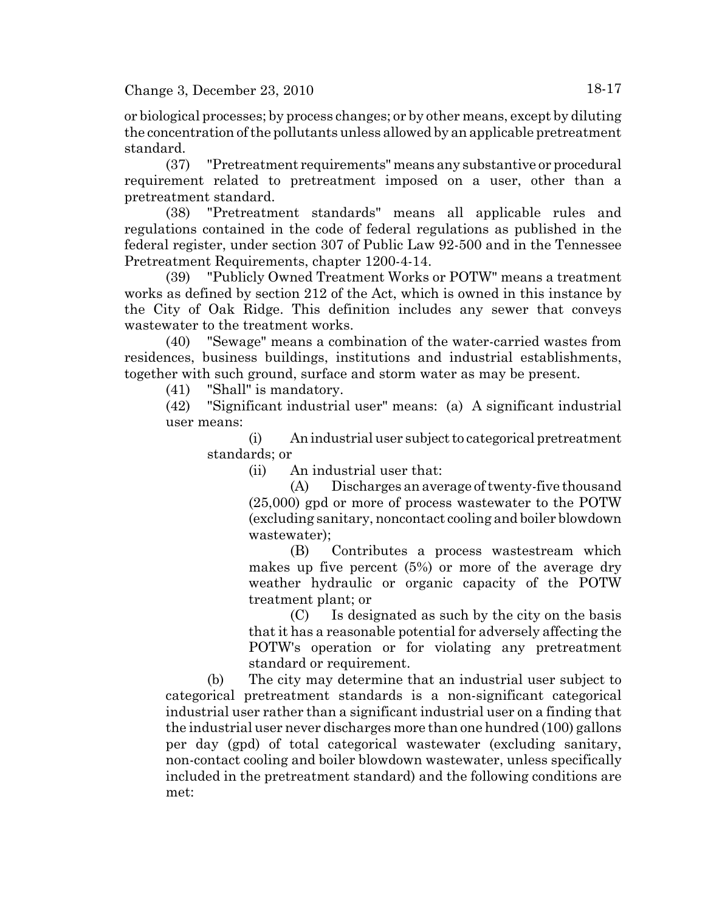or biological processes; by process changes; or by other means, except by diluting the concentration of the pollutants unless allowed by an applicable pretreatment standard.

(37) "Pretreatment requirements" means any substantive or procedural requirement related to pretreatment imposed on a user, other than a pretreatment standard.

(38) "Pretreatment standards" means all applicable rules and regulations contained in the code of federal regulations as published in the federal register, under section 307 of Public Law 92-500 and in the Tennessee Pretreatment Requirements, chapter 1200-4-14.

(39) "Publicly Owned Treatment Works or POTW" means a treatment works as defined by section 212 of the Act, which is owned in this instance by the City of Oak Ridge. This definition includes any sewer that conveys wastewater to the treatment works.

(40) "Sewage" means a combination of the water-carried wastes from residences, business buildings, institutions and industrial establishments, together with such ground, surface and storm water as may be present.

(41) "Shall" is mandatory.

(42) "Significant industrial user" means: (a) A significant industrial user means:

(i) An industrial user subject to categorical pretreatment standards; or

(ii) An industrial user that:

(A) Discharges an average of twenty-five thousand (25,000) gpd or more of process wastewater to the POTW (excluding sanitary, noncontact cooling and boiler blowdown wastewater);

(B) Contributes a process wastestream which makes up five percent (5%) or more of the average dry weather hydraulic or organic capacity of the POTW treatment plant; or

(C) Is designated as such by the city on the basis that it has a reasonable potential for adversely affecting the POTW's operation or for violating any pretreatment standard or requirement.

(b) The city may determine that an industrial user subject to categorical pretreatment standards is a non-significant categorical industrial user rather than a significant industrial user on a finding that the industrial user never discharges more than one hundred (100) gallons per day (gpd) of total categorical wastewater (excluding sanitary, non-contact cooling and boiler blowdown wastewater, unless specifically included in the pretreatment standard) and the following conditions are met: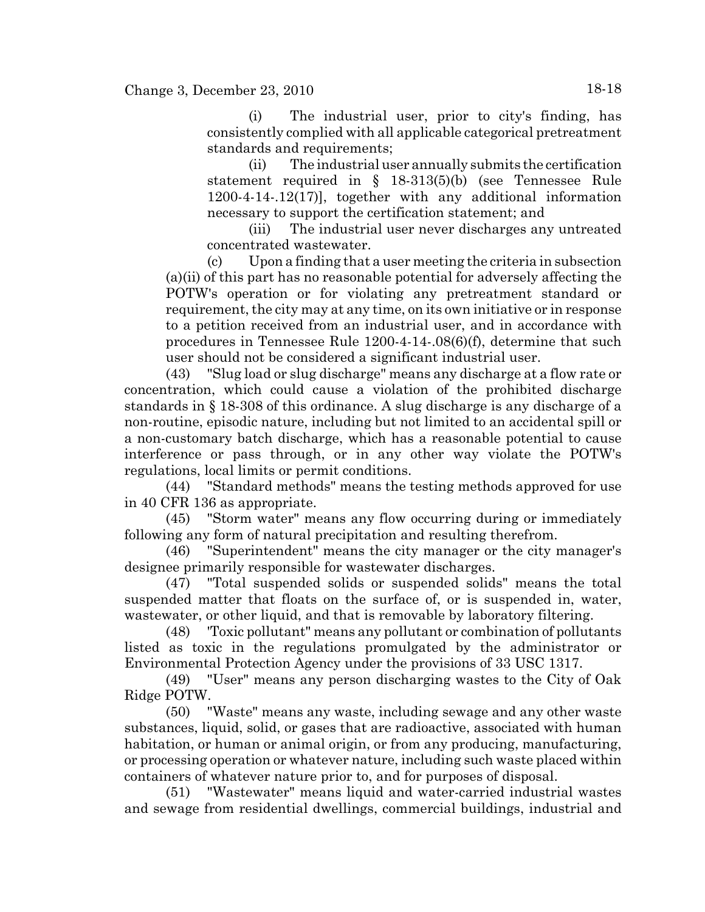(i) The industrial user, prior to city's finding, has consistently complied with all applicable categorical pretreatment standards and requirements;

(ii) The industrial user annually submits the certification statement required in § 18-313(5)(b) (see Tennessee Rule 1200-4-14-.12(17)], together with any additional information necessary to support the certification statement; and

(iii) The industrial user never discharges any untreated concentrated wastewater.

(c) Upon a finding that a user meeting the criteria in subsection (a)(ii) of this part has no reasonable potential for adversely affecting the POTW's operation or for violating any pretreatment standard or requirement, the city may at any time, on its own initiative or in response to a petition received from an industrial user, and in accordance with procedures in Tennessee Rule 1200-4-14-.08(6)(f), determine that such user should not be considered a significant industrial user.

(43) "Slug load or slug discharge" means any discharge at a flow rate or concentration, which could cause a violation of the prohibited discharge standards in § 18-308 of this ordinance. A slug discharge is any discharge of a non-routine, episodic nature, including but not limited to an accidental spill or a non-customary batch discharge, which has a reasonable potential to cause interference or pass through, or in any other way violate the POTW's regulations, local limits or permit conditions.

(44) "Standard methods" means the testing methods approved for use in 40 CFR 136 as appropriate.

(45) "Storm water" means any flow occurring during or immediately following any form of natural precipitation and resulting therefrom.

(46) "Superintendent" means the city manager or the city manager's designee primarily responsible for wastewater discharges.

(47) "Total suspended solids or suspended solids" means the total suspended matter that floats on the surface of, or is suspended in, water, wastewater, or other liquid, and that is removable by laboratory filtering.

(48) 'Toxic pollutant" means any pollutant or combination of pollutants listed as toxic in the regulations promulgated by the administrator or Environmental Protection Agency under the provisions of 33 USC 1317.

(49) "User" means any person discharging wastes to the City of Oak Ridge POTW.

(50) "Waste" means any waste, including sewage and any other waste substances, liquid, solid, or gases that are radioactive, associated with human habitation, or human or animal origin, or from any producing, manufacturing, or processing operation or whatever nature, including such waste placed within containers of whatever nature prior to, and for purposes of disposal.

(51) "Wastewater" means liquid and water-carried industrial wastes and sewage from residential dwellings, commercial buildings, industrial and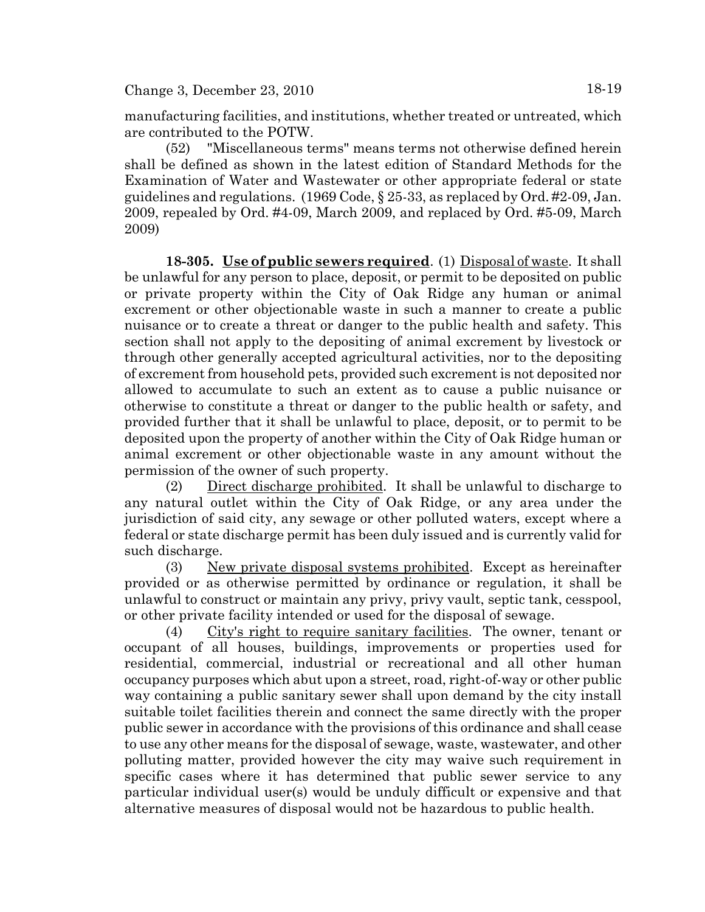manufacturing facilities, and institutions, whether treated or untreated, which are contributed to the POTW.

(52) "Miscellaneous terms" means terms not otherwise defined herein shall be defined as shown in the latest edition of Standard Methods for the Examination of Water and Wastewater or other appropriate federal or state guidelines and regulations.  $(1969 \text{ Code}, \S 25-33)$ , as replaced by Ord. #2-09, Jan. 2009, repealed by Ord. #4-09, March 2009, and replaced by Ord. #5-09, March 2009)

**18-305. Use of public sewers required**. (1) Disposal of waste. It shall be unlawful for any person to place, deposit, or permit to be deposited on public or private property within the City of Oak Ridge any human or animal excrement or other objectionable waste in such a manner to create a public nuisance or to create a threat or danger to the public health and safety. This section shall not apply to the depositing of animal excrement by livestock or through other generally accepted agricultural activities, nor to the depositing of excrement from household pets, provided such excrement is not deposited nor allowed to accumulate to such an extent as to cause a public nuisance or otherwise to constitute a threat or danger to the public health or safety, and provided further that it shall be unlawful to place, deposit, or to permit to be deposited upon the property of another within the City of Oak Ridge human or animal excrement or other objectionable waste in any amount without the permission of the owner of such property.

 $(2)$  Direct discharge prohibited. It shall be unlawful to discharge to any natural outlet within the City of Oak Ridge, or any area under the jurisdiction of said city, any sewage or other polluted waters, except where a federal or state discharge permit has been duly issued and is currently valid for such discharge.

(3) New private disposal systems prohibited. Except as hereinafter provided or as otherwise permitted by ordinance or regulation, it shall be unlawful to construct or maintain any privy, privy vault, septic tank, cesspool, or other private facility intended or used for the disposal of sewage.

(4) City's right to require sanitary facilities. The owner, tenant or occupant of all houses, buildings, improvements or properties used for residential, commercial, industrial or recreational and all other human occupancy purposes which abut upon a street, road, right-of-way or other public way containing a public sanitary sewer shall upon demand by the city install suitable toilet facilities therein and connect the same directly with the proper public sewer in accordance with the provisions of this ordinance and shall cease to use any other means for the disposal of sewage, waste, wastewater, and other polluting matter, provided however the city may waive such requirement in specific cases where it has determined that public sewer service to any particular individual user(s) would be unduly difficult or expensive and that alternative measures of disposal would not be hazardous to public health.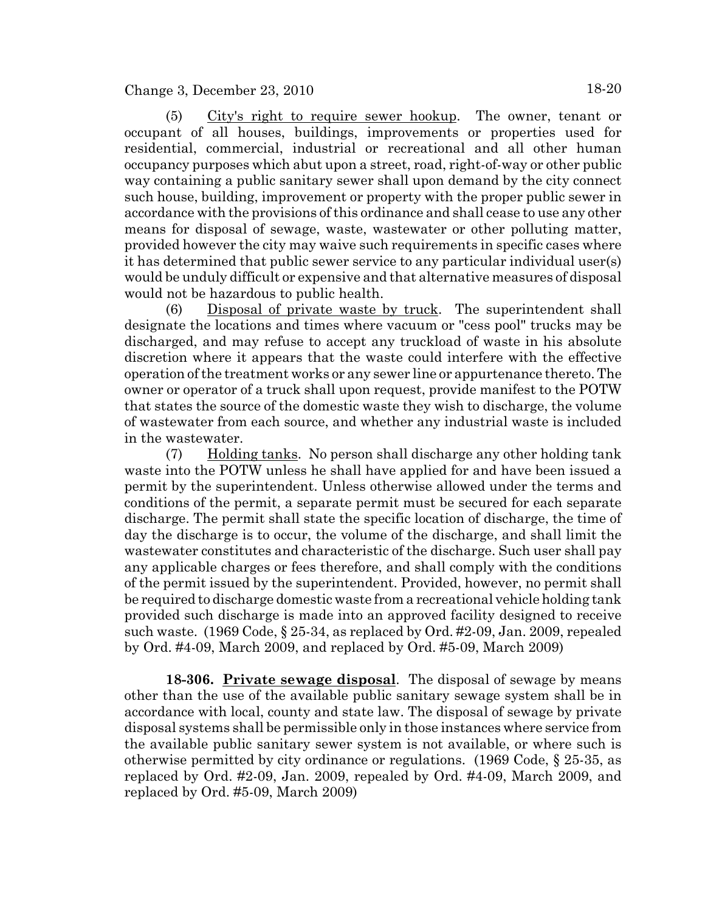(5) City's right to require sewer hookup. The owner, tenant or occupant of all houses, buildings, improvements or properties used for residential, commercial, industrial or recreational and all other human occupancy purposes which abut upon a street, road, right-of-way or other public way containing a public sanitary sewer shall upon demand by the city connect such house, building, improvement or property with the proper public sewer in accordance with the provisions of this ordinance and shall cease to use any other means for disposal of sewage, waste, wastewater or other polluting matter, provided however the city may waive such requirements in specific cases where it has determined that public sewer service to any particular individual user(s) would be unduly difficult or expensive and that alternative measures of disposal would not be hazardous to public health.

(6) Disposal of private waste by truck. The superintendent shall designate the locations and times where vacuum or "cess pool" trucks may be discharged, and may refuse to accept any truckload of waste in his absolute discretion where it appears that the waste could interfere with the effective operation of the treatment works or any sewer line or appurtenance thereto. The owner or operator of a truck shall upon request, provide manifest to the POTW that states the source of the domestic waste they wish to discharge, the volume of wastewater from each source, and whether any industrial waste is included in the wastewater.

(7) Holding tanks. No person shall discharge any other holding tank waste into the POTW unless he shall have applied for and have been issued a permit by the superintendent. Unless otherwise allowed under the terms and conditions of the permit, a separate permit must be secured for each separate discharge. The permit shall state the specific location of discharge, the time of day the discharge is to occur, the volume of the discharge, and shall limit the wastewater constitutes and characteristic of the discharge. Such user shall pay any applicable charges or fees therefore, and shall comply with the conditions of the permit issued by the superintendent. Provided, however, no permit shall be required to discharge domestic waste from a recreational vehicle holding tank provided such discharge is made into an approved facility designed to receive such waste. (1969 Code, § 25-34, as replaced by Ord. #2-09, Jan. 2009, repealed by Ord. #4-09, March 2009, and replaced by Ord. #5-09, March 2009)

**18-306. Private sewage disposal**. The disposal of sewage by means other than the use of the available public sanitary sewage system shall be in accordance with local, county and state law. The disposal of sewage by private disposal systems shall be permissible only in those instances where service from the available public sanitary sewer system is not available, or where such is otherwise permitted by city ordinance or regulations. (1969 Code, § 25-35, as replaced by Ord. #2-09, Jan. 2009, repealed by Ord. #4-09, March 2009, and replaced by Ord. #5-09, March 2009)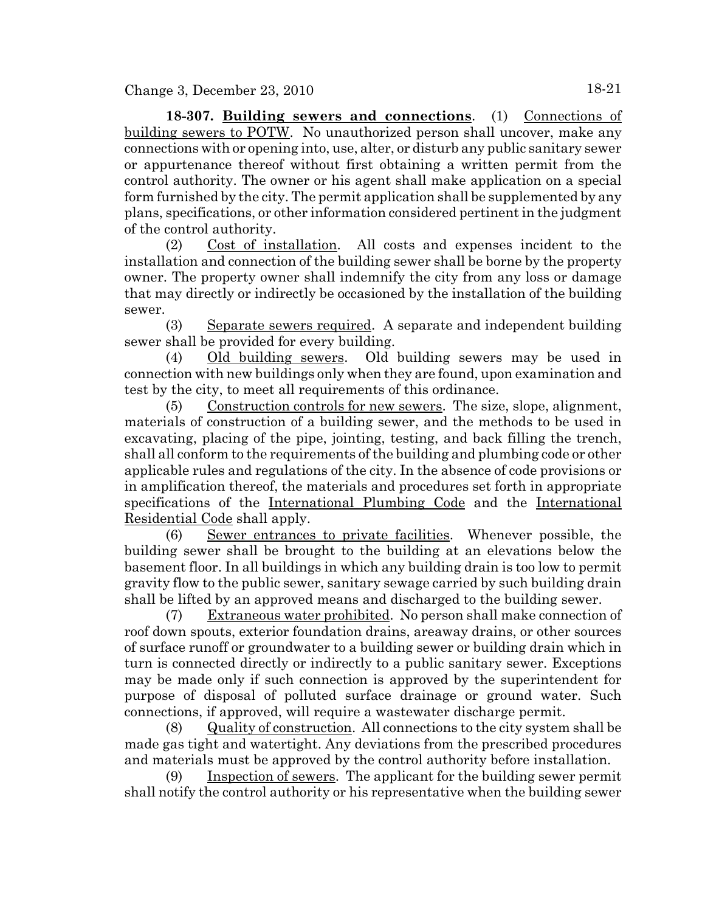**18-307. Building sewers and connections**. (1) Connections of building sewers to POTW. No unauthorized person shall uncover, make any connections with or opening into, use, alter, or disturb any public sanitary sewer or appurtenance thereof without first obtaining a written permit from the control authority. The owner or his agent shall make application on a special form furnished by the city. The permit application shall be supplemented by any plans, specifications, or other information considered pertinent in the judgment of the control authority.

(2) Cost of installation. All costs and expenses incident to the installation and connection of the building sewer shall be borne by the property owner. The property owner shall indemnify the city from any loss or damage that may directly or indirectly be occasioned by the installation of the building sewer.

(3) Separate sewers required. A separate and independent building sewer shall be provided for every building.

(4) Old building sewers. Old building sewers may be used in connection with new buildings only when they are found, upon examination and test by the city, to meet all requirements of this ordinance.

(5) Construction controls for new sewers. The size, slope, alignment, materials of construction of a building sewer, and the methods to be used in excavating, placing of the pipe, jointing, testing, and back filling the trench, shall all conform to the requirements of the building and plumbing code or other applicable rules and regulations of the city. In the absence of code provisions or in amplification thereof, the materials and procedures set forth in appropriate specifications of the International Plumbing Code and the International Residential Code shall apply.

(6) Sewer entrances to private facilities. Whenever possible, the building sewer shall be brought to the building at an elevations below the basement floor. In all buildings in which any building drain is too low to permit gravity flow to the public sewer, sanitary sewage carried by such building drain shall be lifted by an approved means and discharged to the building sewer.

(7) Extraneous water prohibited. No person shall make connection of roof down spouts, exterior foundation drains, areaway drains, or other sources of surface runoff or groundwater to a building sewer or building drain which in turn is connected directly or indirectly to a public sanitary sewer. Exceptions may be made only if such connection is approved by the superintendent for purpose of disposal of polluted surface drainage or ground water. Such connections, if approved, will require a wastewater discharge permit.

(8)  $\quad$  Quality of construction. All connections to the city system shall be made gas tight and watertight. Any deviations from the prescribed procedures and materials must be approved by the control authority before installation.

 $(9)$  Inspection of sewers. The applicant for the building sewer permit shall notify the control authority or his representative when the building sewer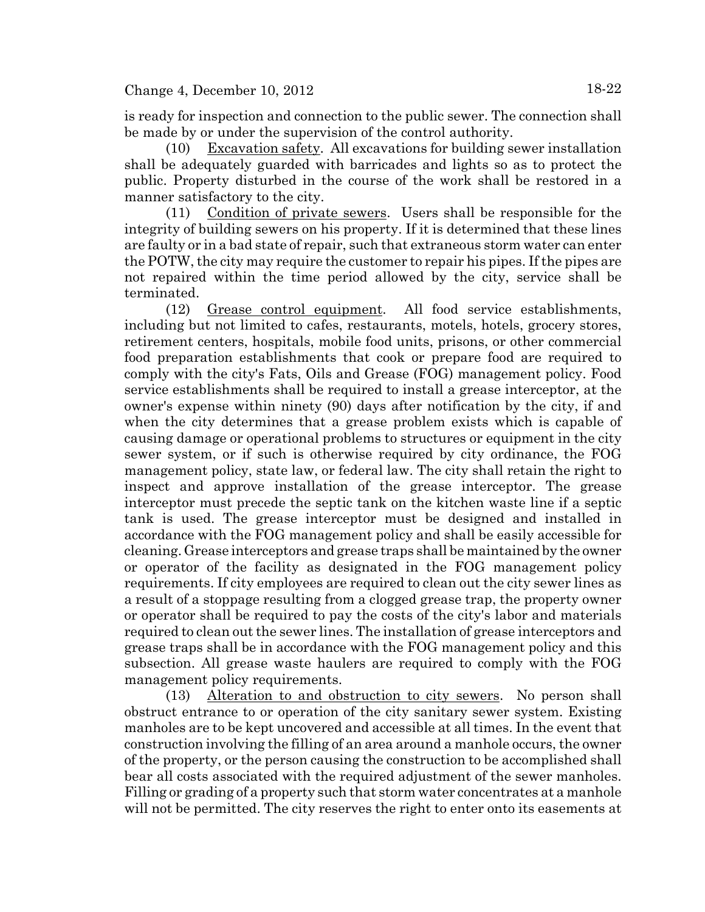### Change 4, December 10, 2012 18-22

is ready for inspection and connection to the public sewer. The connection shall be made by or under the supervision of the control authority.

(10) Excavation safety. All excavations for building sewer installation shall be adequately guarded with barricades and lights so as to protect the public. Property disturbed in the course of the work shall be restored in a manner satisfactory to the city.

(11) Condition of private sewers. Users shall be responsible for the integrity of building sewers on his property. If it is determined that these lines are faulty or in a bad state of repair, such that extraneous storm water can enter the POTW, the city may require the customer to repair his pipes. If the pipes are not repaired within the time period allowed by the city, service shall be terminated.

(12) Grease control equipment. All food service establishments, including but not limited to cafes, restaurants, motels, hotels, grocery stores, retirement centers, hospitals, mobile food units, prisons, or other commercial food preparation establishments that cook or prepare food are required to comply with the city's Fats, Oils and Grease (FOG) management policy. Food service establishments shall be required to install a grease interceptor, at the owner's expense within ninety (90) days after notification by the city, if and when the city determines that a grease problem exists which is capable of causing damage or operational problems to structures or equipment in the city sewer system, or if such is otherwise required by city ordinance, the FOG management policy, state law, or federal law. The city shall retain the right to inspect and approve installation of the grease interceptor. The grease interceptor must precede the septic tank on the kitchen waste line if a septic tank is used. The grease interceptor must be designed and installed in accordance with the FOG management policy and shall be easily accessible for cleaning. Grease interceptors and grease traps shall be maintained by the owner or operator of the facility as designated in the FOG management policy requirements. If city employees are required to clean out the city sewer lines as a result of a stoppage resulting from a clogged grease trap, the property owner or operator shall be required to pay the costs of the city's labor and materials required to clean out the sewer lines. The installation of grease interceptors and grease traps shall be in accordance with the FOG management policy and this subsection. All grease waste haulers are required to comply with the FOG management policy requirements.

(13) Alteration to and obstruction to city sewers. No person shall obstruct entrance to or operation of the city sanitary sewer system. Existing manholes are to be kept uncovered and accessible at all times. In the event that construction involving the filling of an area around a manhole occurs, the owner of the property, or the person causing the construction to be accomplished shall bear all costs associated with the required adjustment of the sewer manholes. Filling or grading of a property such that storm water concentrates at a manhole will not be permitted. The city reserves the right to enter onto its easements at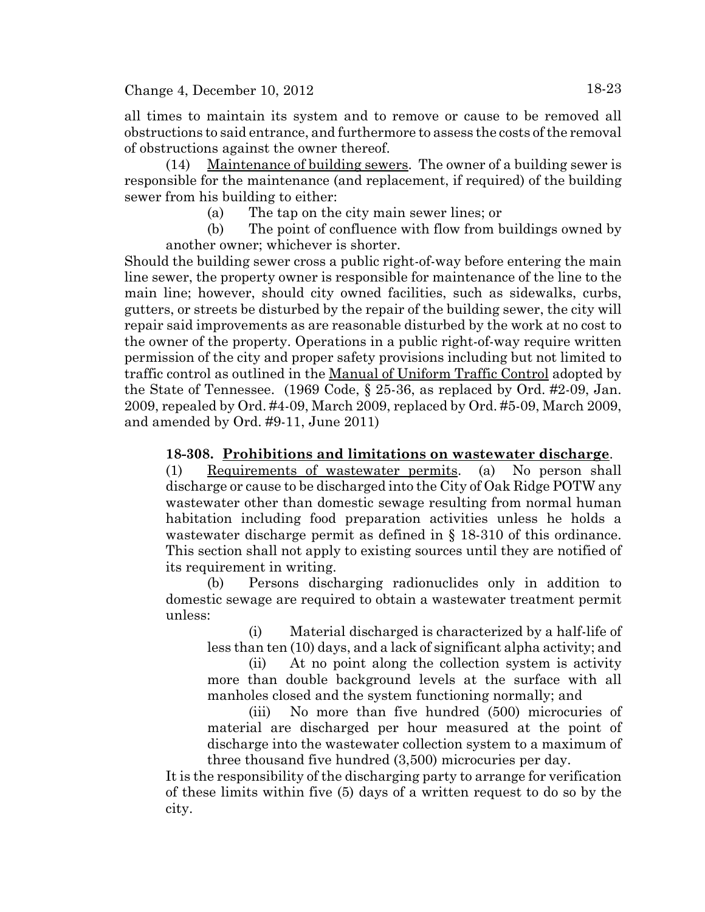all times to maintain its system and to remove or cause to be removed all obstructions to said entrance, and furthermore to assess the costs of the removal of obstructions against the owner thereof.

(14) Maintenance of building sewers. The owner of a building sewer is responsible for the maintenance (and replacement, if required) of the building sewer from his building to either:

(a) The tap on the city main sewer lines; or

(b) The point of confluence with flow from buildings owned by another owner; whichever is shorter.

Should the building sewer cross a public right-of-way before entering the main line sewer, the property owner is responsible for maintenance of the line to the main line; however, should city owned facilities, such as sidewalks, curbs, gutters, or streets be disturbed by the repair of the building sewer, the city will repair said improvements as are reasonable disturbed by the work at no cost to the owner of the property. Operations in a public right-of-way require written permission of the city and proper safety provisions including but not limited to traffic control as outlined in the Manual of Uniform Traffic Control adopted by the State of Tennessee. (1969 Code, § 25-36, as replaced by Ord. #2-09, Jan. 2009, repealed by Ord. #4-09, March 2009, replaced by Ord. #5-09, March 2009, and amended by Ord. #9-11, June 2011)

# **18-308. Prohibitions and limitations on wastewater discharge**.

(1) Requirements of wastewater permits. (a) No person shall discharge or cause to be discharged into the City of Oak Ridge POTW any wastewater other than domestic sewage resulting from normal human habitation including food preparation activities unless he holds a wastewater discharge permit as defined in § 18-310 of this ordinance. This section shall not apply to existing sources until they are notified of its requirement in writing.

(b) Persons discharging radionuclides only in addition to domestic sewage are required to obtain a wastewater treatment permit unless:

(i) Material discharged is characterized by a half-life of less than ten (10) days, and a lack of significant alpha activity; and

(ii) At no point along the collection system is activity more than double background levels at the surface with all manholes closed and the system functioning normally; and

(iii) No more than five hundred (500) microcuries of material are discharged per hour measured at the point of discharge into the wastewater collection system to a maximum of three thousand five hundred (3,500) microcuries per day.

It is the responsibility of the discharging party to arrange for verification of these limits within five (5) days of a written request to do so by the city.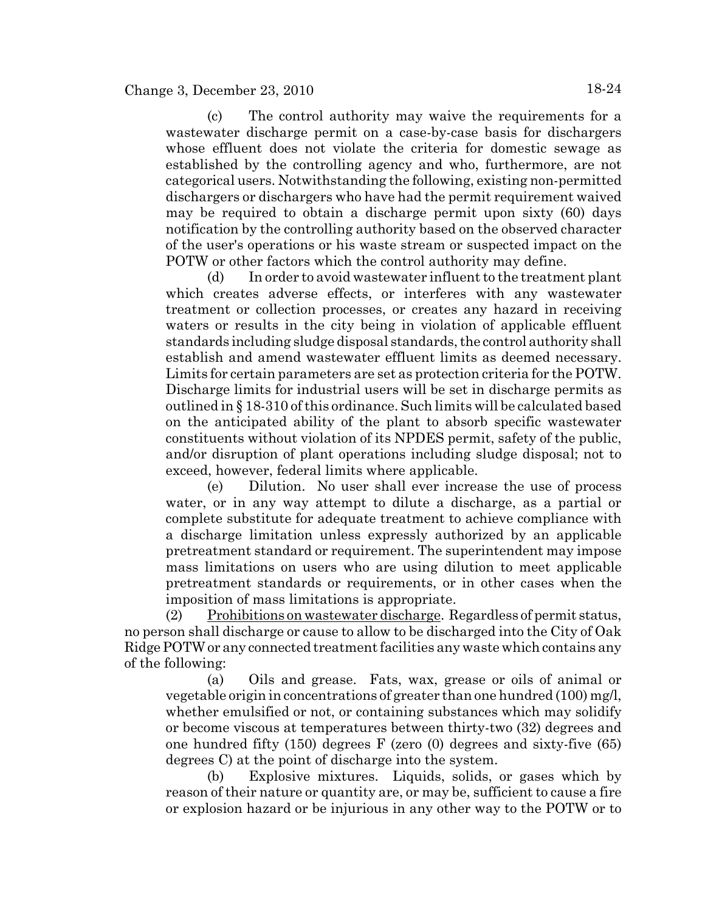(c) The control authority may waive the requirements for a wastewater discharge permit on a case-by-case basis for dischargers whose effluent does not violate the criteria for domestic sewage as established by the controlling agency and who, furthermore, are not categorical users. Notwithstanding the following, existing non-permitted dischargers or dischargers who have had the permit requirement waived may be required to obtain a discharge permit upon sixty (60) days notification by the controlling authority based on the observed character of the user's operations or his waste stream or suspected impact on the POTW or other factors which the control authority may define.

(d) In order to avoid wastewater influent to the treatment plant which creates adverse effects, or interferes with any wastewater treatment or collection processes, or creates any hazard in receiving waters or results in the city being in violation of applicable effluent standards including sludge disposal standards, the control authority shall establish and amend wastewater effluent limits as deemed necessary. Limits for certain parameters are set as protection criteria for the POTW. Discharge limits for industrial users will be set in discharge permits as outlined in § 18-310 of this ordinance. Such limits will be calculated based on the anticipated ability of the plant to absorb specific wastewater constituents without violation of its NPDES permit, safety of the public, and/or disruption of plant operations including sludge disposal; not to exceed, however, federal limits where applicable.

(e) Dilution. No user shall ever increase the use of process water, or in any way attempt to dilute a discharge, as a partial or complete substitute for adequate treatment to achieve compliance with a discharge limitation unless expressly authorized by an applicable pretreatment standard or requirement. The superintendent may impose mass limitations on users who are using dilution to meet applicable pretreatment standards or requirements, or in other cases when the imposition of mass limitations is appropriate.

(2) Prohibitions on wastewater discharge. Regardless of permit status, no person shall discharge or cause to allow to be discharged into the City of Oak Ridge POTW or any connected treatment facilities any waste which contains any of the following:

(a) Oils and grease. Fats, wax, grease or oils of animal or vegetable origin in concentrations of greater than one hundred (100) mg/l, whether emulsified or not, or containing substances which may solidify or become viscous at temperatures between thirty-two (32) degrees and one hundred fifty  $(150)$  degrees F (zero  $(0)$  degrees and sixty-five  $(65)$ ) degrees C) at the point of discharge into the system.

(b) Explosive mixtures. Liquids, solids, or gases which by reason of their nature or quantity are, or may be, sufficient to cause a fire or explosion hazard or be injurious in any other way to the POTW or to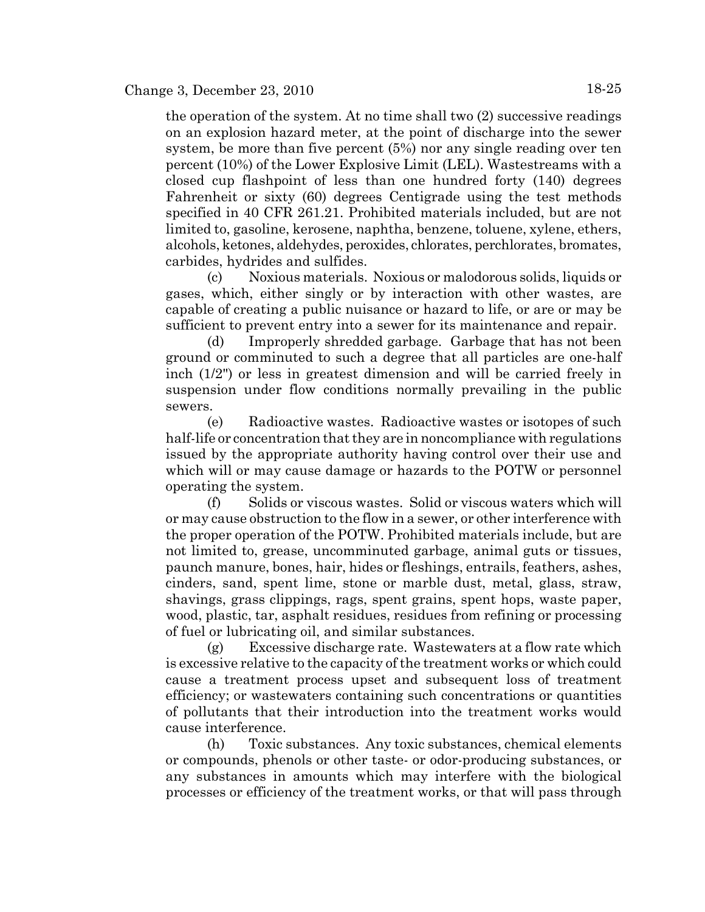the operation of the system. At no time shall two (2) successive readings on an explosion hazard meter, at the point of discharge into the sewer system, be more than five percent (5%) nor any single reading over ten percent (10%) of the Lower Explosive Limit (LEL). Wastestreams with a closed cup flashpoint of less than one hundred forty (140) degrees Fahrenheit or sixty (60) degrees Centigrade using the test methods specified in 40 CFR 261.21. Prohibited materials included, but are not limited to, gasoline, kerosene, naphtha, benzene, toluene, xylene, ethers, alcohols, ketones, aldehydes, peroxides, chlorates, perchlorates, bromates, carbides, hydrides and sulfides.

(c) Noxious materials. Noxious or malodorous solids, liquids or gases, which, either singly or by interaction with other wastes, are capable of creating a public nuisance or hazard to life, or are or may be sufficient to prevent entry into a sewer for its maintenance and repair.

(d) Improperly shredded garbage. Garbage that has not been ground or comminuted to such a degree that all particles are one-half inch (1/2") or less in greatest dimension and will be carried freely in suspension under flow conditions normally prevailing in the public sewers.

(e) Radioactive wastes. Radioactive wastes or isotopes of such half-life or concentration that they are in noncompliance with regulations issued by the appropriate authority having control over their use and which will or may cause damage or hazards to the POTW or personnel operating the system.

(f) Solids or viscous wastes. Solid or viscous waters which will or may cause obstruction to the flow in a sewer, or other interference with the proper operation of the POTW. Prohibited materials include, but are not limited to, grease, uncomminuted garbage, animal guts or tissues, paunch manure, bones, hair, hides or fleshings, entrails, feathers, ashes, cinders, sand, spent lime, stone or marble dust, metal, glass, straw, shavings, grass clippings, rags, spent grains, spent hops, waste paper, wood, plastic, tar, asphalt residues, residues from refining or processing of fuel or lubricating oil, and similar substances.

(g) Excessive discharge rate. Wastewaters at a flow rate which is excessive relative to the capacity of the treatment works or which could cause a treatment process upset and subsequent loss of treatment efficiency; or wastewaters containing such concentrations or quantities of pollutants that their introduction into the treatment works would cause interference.

(h) Toxic substances. Any toxic substances, chemical elements or compounds, phenols or other taste- or odor-producing substances, or any substances in amounts which may interfere with the biological processes or efficiency of the treatment works, or that will pass through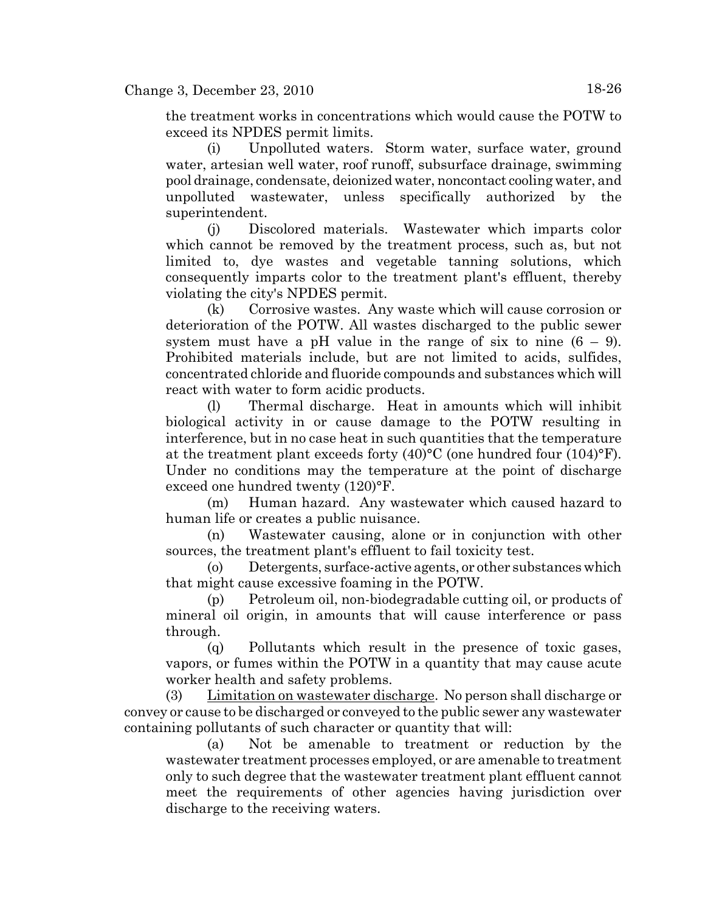the treatment works in concentrations which would cause the POTW to exceed its NPDES permit limits.

(i) Unpolluted waters. Storm water, surface water, ground water, artesian well water, roof runoff, subsurface drainage, swimming pool drainage, condensate, deionized water, noncontact cooling water, and unpolluted wastewater, unless specifically authorized by the superintendent.

(j) Discolored materials. Wastewater which imparts color which cannot be removed by the treatment process, such as, but not limited to, dye wastes and vegetable tanning solutions, which consequently imparts color to the treatment plant's effluent, thereby violating the city's NPDES permit.

(k) Corrosive wastes. Any waste which will cause corrosion or deterioration of the POTW. All wastes discharged to the public sewer system must have a pH value in the range of six to nine  $(6 - 9)$ . Prohibited materials include, but are not limited to acids, sulfides, concentrated chloride and fluoride compounds and substances which will react with water to form acidic products.

(l) Thermal discharge. Heat in amounts which will inhibit biological activity in or cause damage to the POTW resulting in interference, but in no case heat in such quantities that the temperature at the treatment plant exceeds forty  $(40)$ °C (one hundred four  $(104)$ °F). Under no conditions may the temperature at the point of discharge exceed one hundred twenty (120)°F.

(m) Human hazard. Any wastewater which caused hazard to human life or creates a public nuisance.

(n) Wastewater causing, alone or in conjunction with other sources, the treatment plant's effluent to fail toxicity test.

(o) Detergents, surface-active agents, or other substances which that might cause excessive foaming in the POTW.

(p) Petroleum oil, non-biodegradable cutting oil, or products of mineral oil origin, in amounts that will cause interference or pass through.

(q) Pollutants which result in the presence of toxic gases, vapors, or fumes within the POTW in a quantity that may cause acute worker health and safety problems.

Limitation on wastewater discharge. No person shall discharge or convey or cause to be discharged or conveyed to the public sewer any wastewater containing pollutants of such character or quantity that will:

(a) Not be amenable to treatment or reduction by the wastewater treatment processes employed, or are amenable to treatment only to such degree that the wastewater treatment plant effluent cannot meet the requirements of other agencies having jurisdiction over discharge to the receiving waters.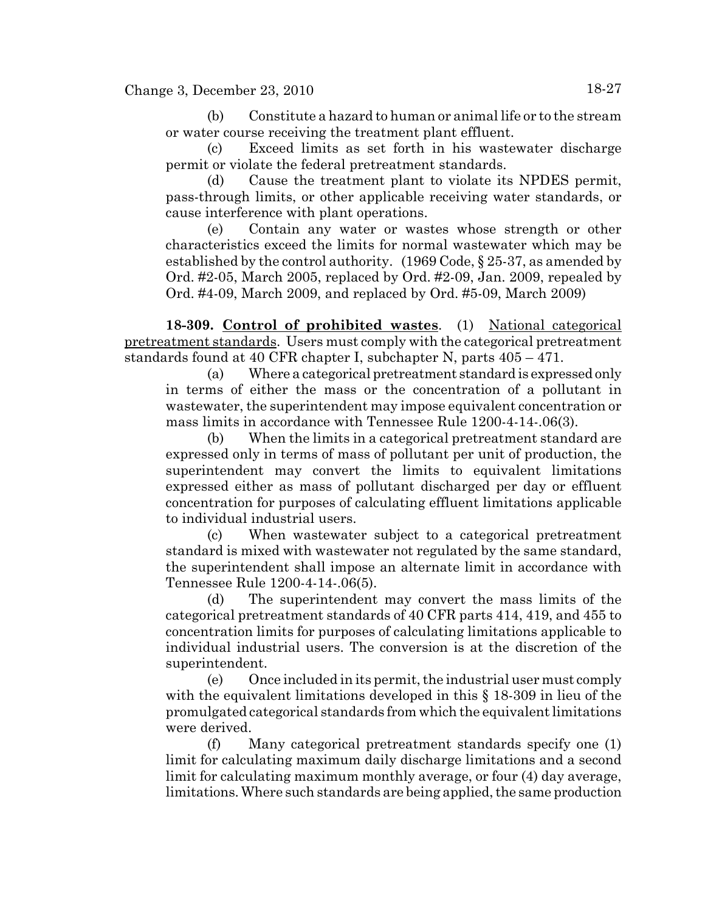(b) Constitute a hazard to human or animal life or to the stream or water course receiving the treatment plant effluent.

(c) Exceed limits as set forth in his wastewater discharge permit or violate the federal pretreatment standards.

(d) Cause the treatment plant to violate its NPDES permit, pass-through limits, or other applicable receiving water standards, or cause interference with plant operations.

(e) Contain any water or wastes whose strength or other characteristics exceed the limits for normal wastewater which may be established by the control authority. (1969 Code, § 25-37, as amended by Ord. #2-05, March 2005, replaced by Ord. #2-09, Jan. 2009, repealed by Ord. #4-09, March 2009, and replaced by Ord. #5-09, March 2009)

**18-309. Control of prohibited wastes**. (1) National categorical pretreatment standards. Users must comply with the categorical pretreatment standards found at 40 CFR chapter I, subchapter N, parts 405 – 471.

(a) Where a categorical pretreatment standard is expressed only in terms of either the mass or the concentration of a pollutant in wastewater, the superintendent may impose equivalent concentration or mass limits in accordance with Tennessee Rule 1200-4-14-.06(3).

(b) When the limits in a categorical pretreatment standard are expressed only in terms of mass of pollutant per unit of production, the superintendent may convert the limits to equivalent limitations expressed either as mass of pollutant discharged per day or effluent concentration for purposes of calculating effluent limitations applicable to individual industrial users.

(c) When wastewater subject to a categorical pretreatment standard is mixed with wastewater not regulated by the same standard, the superintendent shall impose an alternate limit in accordance with Tennessee Rule 1200-4-14-.06(5).

(d) The superintendent may convert the mass limits of the categorical pretreatment standards of 40 CFR parts 414, 419, and 455 to concentration limits for purposes of calculating limitations applicable to individual industrial users. The conversion is at the discretion of the superintendent.

(e) Once included in its permit, the industrial user must comply with the equivalent limitations developed in this § 18-309 in lieu of the promulgated categorical standards from which the equivalent limitations were derived.

(f) Many categorical pretreatment standards specify one (1) limit for calculating maximum daily discharge limitations and a second limit for calculating maximum monthly average, or four (4) day average, limitations. Where such standards are being applied, the same production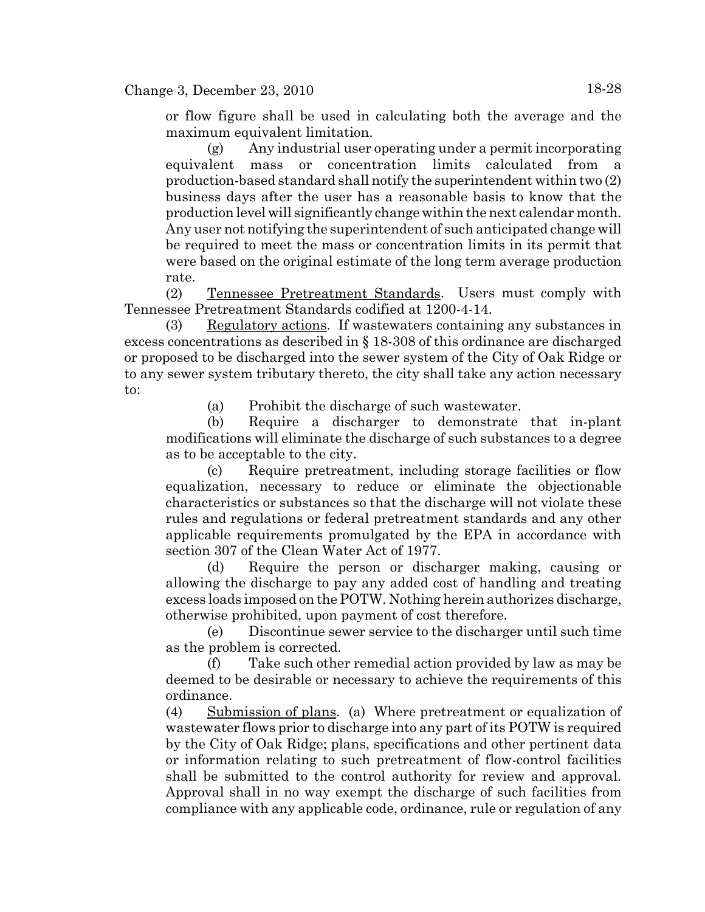or flow figure shall be used in calculating both the average and the maximum equivalent limitation.

(g) Any industrial user operating under a permit incorporating equivalent mass or concentration limits calculated from a production-based standard shall notify the superintendent within two (2) business days after the user has a reasonable basis to know that the production level will significantly change within the next calendar month. Any user not notifying the superintendent of such anticipated change will be required to meet the mass or concentration limits in its permit that were based on the original estimate of the long term average production rate.

(2) Tennessee Pretreatment Standards. Users must comply with Tennessee Pretreatment Standards codified at 1200-4-14.

(3) Regulatory actions. If wastewaters containing any substances in excess concentrations as described in § 18-308 of this ordinance are discharged or proposed to be discharged into the sewer system of the City of Oak Ridge or to any sewer system tributary thereto, the city shall take any action necessary to:

(a) Prohibit the discharge of such wastewater.

(b) Require a discharger to demonstrate that in-plant modifications will eliminate the discharge of such substances to a degree as to be acceptable to the city.

(c) Require pretreatment, including storage facilities or flow equalization, necessary to reduce or eliminate the objectionable characteristics or substances so that the discharge will not violate these rules and regulations or federal pretreatment standards and any other applicable requirements promulgated by the EPA in accordance with section 307 of the Clean Water Act of 1977.

(d) Require the person or discharger making, causing or allowing the discharge to pay any added cost of handling and treating excess loads imposed on the POTW. Nothing herein authorizes discharge, otherwise prohibited, upon payment of cost therefore.

(e) Discontinue sewer service to the discharger until such time as the problem is corrected.

(f) Take such other remedial action provided by law as may be deemed to be desirable or necessary to achieve the requirements of this ordinance.

(4) Submission of plans. (a) Where pretreatment or equalization of wastewater flows prior to discharge into any part of its POTW is required by the City of Oak Ridge; plans, specifications and other pertinent data or information relating to such pretreatment of flow-control facilities shall be submitted to the control authority for review and approval. Approval shall in no way exempt the discharge of such facilities from compliance with any applicable code, ordinance, rule or regulation of any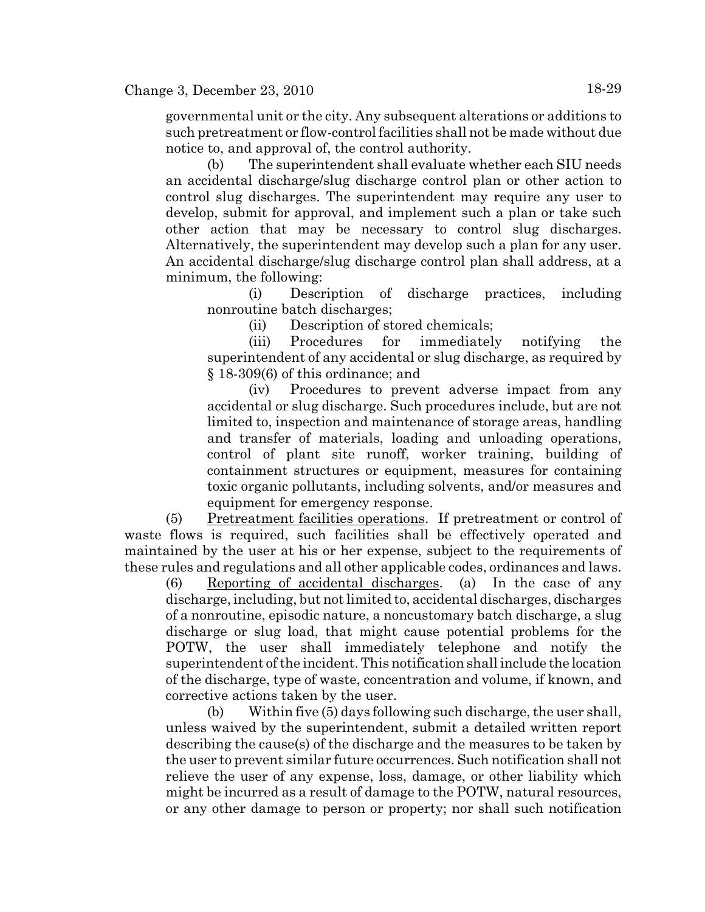governmental unit or the city. Any subsequent alterations or additions to such pretreatment or flow-control facilities shall not be made without due notice to, and approval of, the control authority.

(b) The superintendent shall evaluate whether each SIU needs an accidental discharge/slug discharge control plan or other action to control slug discharges. The superintendent may require any user to develop, submit for approval, and implement such a plan or take such other action that may be necessary to control slug discharges. Alternatively, the superintendent may develop such a plan for any user. An accidental discharge/slug discharge control plan shall address, at a minimum, the following:

(i) Description of discharge practices, including nonroutine batch discharges;

(ii) Description of stored chemicals;

(iii) Procedures for immediately notifying the superintendent of any accidental or slug discharge, as required by § 18-309(6) of this ordinance; and

(iv) Procedures to prevent adverse impact from any accidental or slug discharge. Such procedures include, but are not limited to, inspection and maintenance of storage areas, handling and transfer of materials, loading and unloading operations, control of plant site runoff, worker training, building of containment structures or equipment, measures for containing toxic organic pollutants, including solvents, and/or measures and equipment for emergency response.

(5) Pretreatment facilities operations. If pretreatment or control of waste flows is required, such facilities shall be effectively operated and maintained by the user at his or her expense, subject to the requirements of these rules and regulations and all other applicable codes, ordinances and laws.

(6) Reporting of accidental discharges. (a) In the case of any discharge, including, but not limited to, accidental discharges, discharges of a nonroutine, episodic nature, a noncustomary batch discharge, a slug discharge or slug load, that might cause potential problems for the POTW, the user shall immediately telephone and notify the superintendent of the incident. This notification shall include the location of the discharge, type of waste, concentration and volume, if known, and corrective actions taken by the user.

(b) Within five (5) days following such discharge, the user shall, unless waived by the superintendent, submit a detailed written report describing the cause(s) of the discharge and the measures to be taken by the user to prevent similar future occurrences. Such notification shall not relieve the user of any expense, loss, damage, or other liability which might be incurred as a result of damage to the POTW, natural resources, or any other damage to person or property; nor shall such notification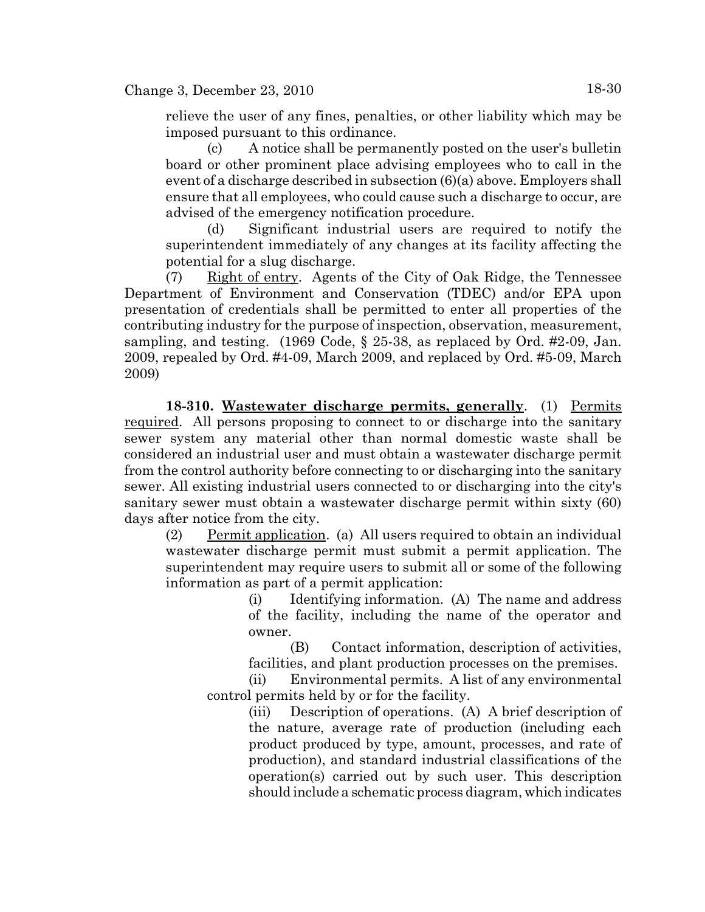relieve the user of any fines, penalties, or other liability which may be imposed pursuant to this ordinance.

(c) A notice shall be permanently posted on the user's bulletin board or other prominent place advising employees who to call in the event of a discharge described in subsection (6)(a) above. Employers shall ensure that all employees, who could cause such a discharge to occur, are advised of the emergency notification procedure.

(d) Significant industrial users are required to notify the superintendent immediately of any changes at its facility affecting the potential for a slug discharge.

(7) Right of entry. Agents of the City of Oak Ridge, the Tennessee Department of Environment and Conservation (TDEC) and/or EPA upon presentation of credentials shall be permitted to enter all properties of the contributing industry for the purpose of inspection, observation, measurement, sampling, and testing. (1969 Code, § 25-38, as replaced by Ord. #2-09, Jan. 2009, repealed by Ord. #4-09, March 2009, and replaced by Ord. #5-09, March 2009)

**18-310. Wastewater discharge permits, generally**. (1) Permits required. All persons proposing to connect to or discharge into the sanitary sewer system any material other than normal domestic waste shall be considered an industrial user and must obtain a wastewater discharge permit from the control authority before connecting to or discharging into the sanitary sewer. All existing industrial users connected to or discharging into the city's sanitary sewer must obtain a wastewater discharge permit within sixty (60) days after notice from the city.

(2) Permit application. (a) All users required to obtain an individual wastewater discharge permit must submit a permit application. The superintendent may require users to submit all or some of the following information as part of a permit application:

> (i) Identifying information. (A) The name and address of the facility, including the name of the operator and owner.

> (B) Contact information, description of activities, facilities, and plant production processes on the premises.

(ii) Environmental permits. A list of any environmental control permits held by or for the facility.

> (iii) Description of operations. (A) A brief description of the nature, average rate of production (including each product produced by type, amount, processes, and rate of production), and standard industrial classifications of the operation(s) carried out by such user. This description should include a schematic process diagram, which indicates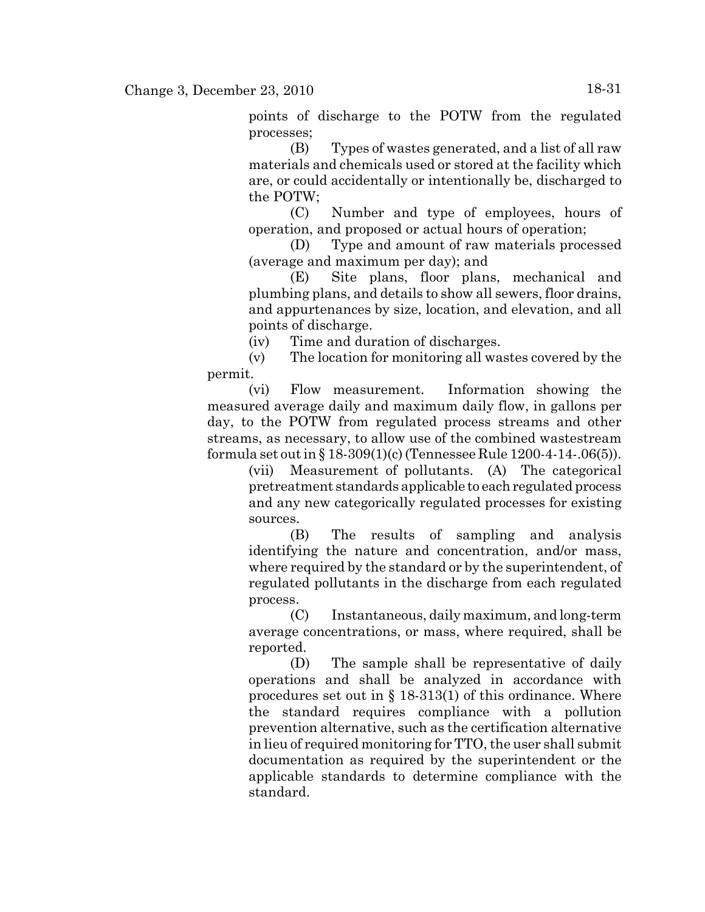points of discharge to the POTW from the regulated processes;

(B) Types of wastes generated, and a list of all raw materials and chemicals used or stored at the facility which are, or could accidentally or intentionally be, discharged to the POTW;

(C) Number and type of employees, hours of operation, and proposed or actual hours of operation;

(D) Type and amount of raw materials processed (average and maximum per day); and

(E) Site plans, floor plans, mechanical and plumbing plans, and details to show all sewers, floor drains, and appurtenances by size, location, and elevation, and all points of discharge.

(iv) Time and duration of discharges.

(v) The location for monitoring all wastes covered by the permit.

(vi) Flow measurement. Information showing the measured average daily and maximum daily flow, in gallons per day, to the POTW from regulated process streams and other streams, as necessary, to allow use of the combined wastestream formula set out in § 18-309(1)(c) (Tennessee Rule 1200-4-14-.06(5)).

(vii) Measurement of pollutants. (A) The categorical pretreatment standards applicable to each regulated process and any new categorically regulated processes for existing sources.

(B) The results of sampling and analysis identifying the nature and concentration, and/or mass, where required by the standard or by the superintendent, of regulated pollutants in the discharge from each regulated process.

(C) Instantaneous, daily maximum, and long-term average concentrations, or mass, where required, shall be reported.

(D) The sample shall be representative of daily operations and shall be analyzed in accordance with procedures set out in § 18-313(1) of this ordinance. Where the standard requires compliance with a pollution prevention alternative, such as the certification alternative in lieu of required monitoring for TTO, the user shall submit documentation as required by the superintendent or the applicable standards to determine compliance with the standard.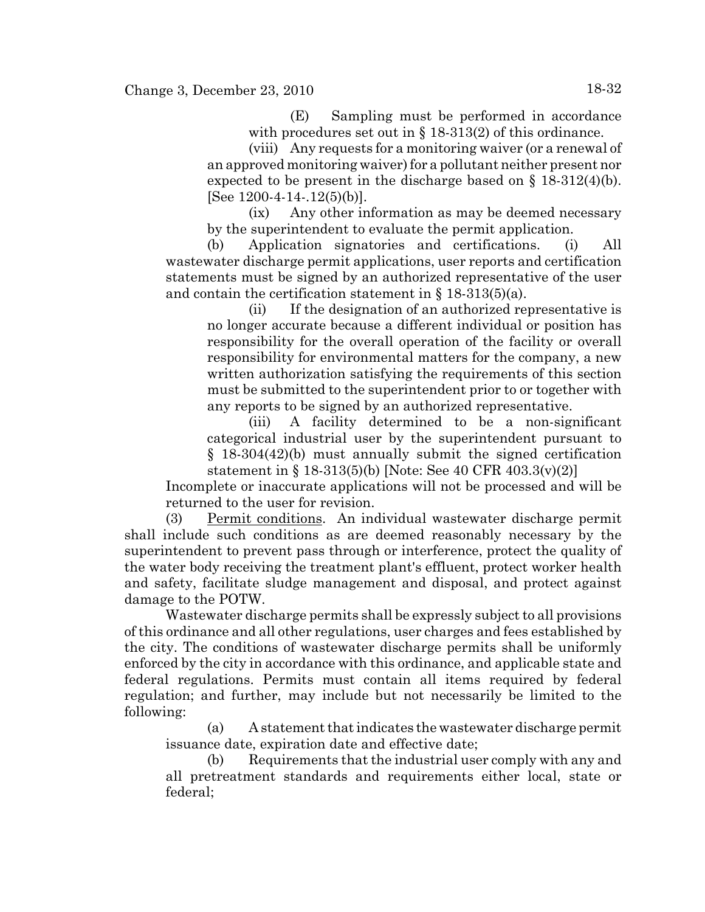(E) Sampling must be performed in accordance with procedures set out in  $\S$  18-313(2) of this ordinance.

(viii) Any requests for a monitoring waiver (or a renewal of an approved monitoring waiver) for a pollutant neither present nor expected to be present in the discharge based on § 18-312(4)(b).  $[See 1200-4-14-.12(5)(b)].$ 

(ix) Any other information as may be deemed necessary by the superintendent to evaluate the permit application.

(b) Application signatories and certifications. (i) All wastewater discharge permit applications, user reports and certification statements must be signed by an authorized representative of the user and contain the certification statement in  $\S$  18-313(5)(a).

(ii) If the designation of an authorized representative is no longer accurate because a different individual or position has responsibility for the overall operation of the facility or overall responsibility for environmental matters for the company, a new written authorization satisfying the requirements of this section must be submitted to the superintendent prior to or together with any reports to be signed by an authorized representative.

(iii) A facility determined to be a non-significant categorical industrial user by the superintendent pursuant to § 18-304(42)(b) must annually submit the signed certification statement in § 18-313(5)(b) [Note: See 40 CFR 403.3(v)(2)]

Incomplete or inaccurate applications will not be processed and will be returned to the user for revision.

(3) Permit conditions. An individual wastewater discharge permit shall include such conditions as are deemed reasonably necessary by the superintendent to prevent pass through or interference, protect the quality of the water body receiving the treatment plant's effluent, protect worker health and safety, facilitate sludge management and disposal, and protect against damage to the POTW.

Wastewater discharge permits shall be expressly subject to all provisions of this ordinance and all other regulations, user charges and fees established by the city. The conditions of wastewater discharge permits shall be uniformly enforced by the city in accordance with this ordinance, and applicable state and federal regulations. Permits must contain all items required by federal regulation; and further, may include but not necessarily be limited to the following:

(a) A statement that indicates the wastewater discharge permit issuance date, expiration date and effective date;

(b) Requirements that the industrial user comply with any and all pretreatment standards and requirements either local, state or federal;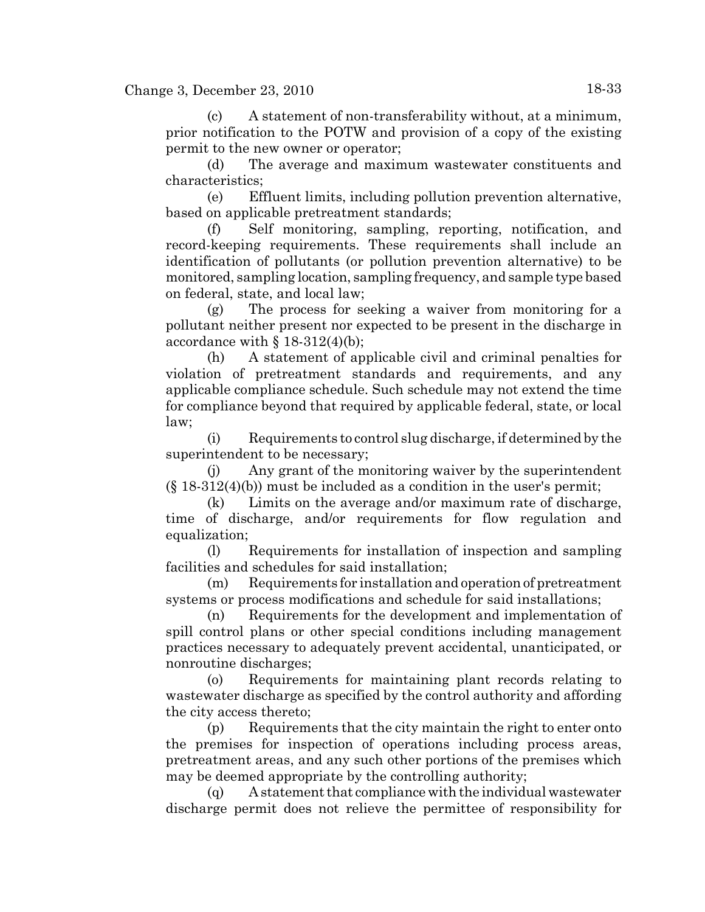(c) A statement of non-transferability without, at a minimum, prior notification to the POTW and provision of a copy of the existing permit to the new owner or operator;

(d) The average and maximum wastewater constituents and characteristics;

(e) Effluent limits, including pollution prevention alternative, based on applicable pretreatment standards;

(f) Self monitoring, sampling, reporting, notification, and record-keeping requirements. These requirements shall include an identification of pollutants (or pollution prevention alternative) to be monitored, sampling location, sampling frequency, and sample type based on federal, state, and local law;

(g) The process for seeking a waiver from monitoring for a pollutant neither present nor expected to be present in the discharge in accordance with  $\S 18-312(4)(b)$ ;

(h) A statement of applicable civil and criminal penalties for violation of pretreatment standards and requirements, and any applicable compliance schedule. Such schedule may not extend the time for compliance beyond that required by applicable federal, state, or local law;

(i) Requirements to control slug discharge, if determined by the superintendent to be necessary;

(j) Any grant of the monitoring waiver by the superintendent  $(\S 18-312(4)(b))$  must be included as a condition in the user's permit;

(k) Limits on the average and/or maximum rate of discharge, time of discharge, and/or requirements for flow regulation and equalization;

(l) Requirements for installation of inspection and sampling facilities and schedules for said installation;

(m) Requirements for installation and operation of pretreatment systems or process modifications and schedule for said installations;

(n) Requirements for the development and implementation of spill control plans or other special conditions including management practices necessary to adequately prevent accidental, unanticipated, or nonroutine discharges;

(o) Requirements for maintaining plant records relating to wastewater discharge as specified by the control authority and affording the city access thereto;

(p) Requirements that the city maintain the right to enter onto the premises for inspection of operations including process areas, pretreatment areas, and any such other portions of the premises which may be deemed appropriate by the controlling authority;

(q) A statement that compliance with the individual wastewater discharge permit does not relieve the permittee of responsibility for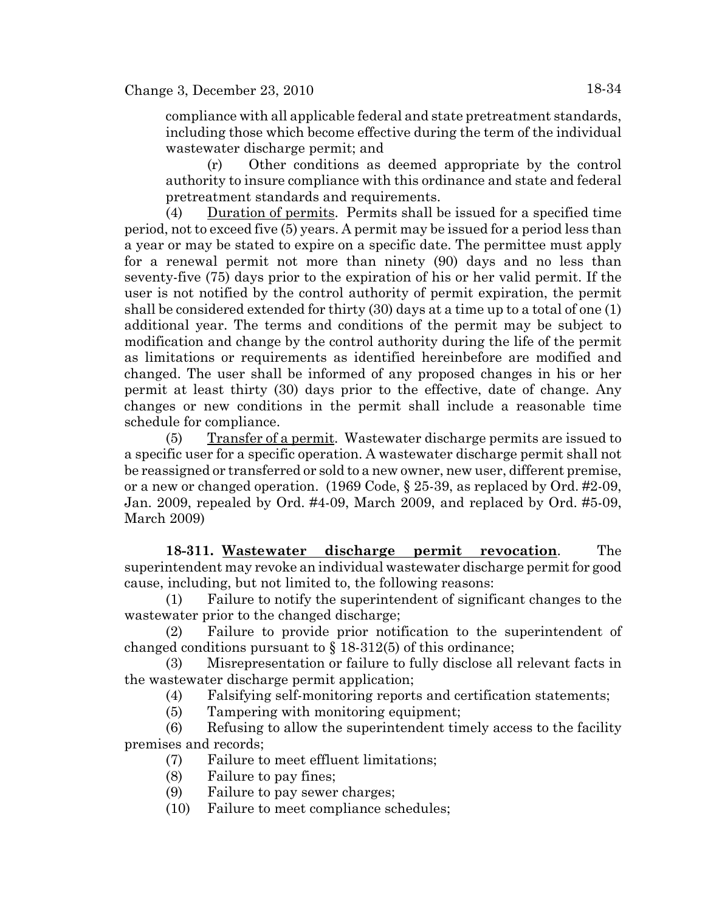compliance with all applicable federal and state pretreatment standards, including those which become effective during the term of the individual wastewater discharge permit; and

(r) Other conditions as deemed appropriate by the control authority to insure compliance with this ordinance and state and federal pretreatment standards and requirements.

(4) Duration of permits. Permits shall be issued for a specified time period, not to exceed five (5) years. A permit may be issued for a period less than a year or may be stated to expire on a specific date. The permittee must apply for a renewal permit not more than ninety (90) days and no less than seventy-five (75) days prior to the expiration of his or her valid permit. If the user is not notified by the control authority of permit expiration, the permit shall be considered extended for thirty (30) days at a time up to a total of one (1) additional year. The terms and conditions of the permit may be subject to modification and change by the control authority during the life of the permit as limitations or requirements as identified hereinbefore are modified and changed. The user shall be informed of any proposed changes in his or her permit at least thirty (30) days prior to the effective, date of change. Any changes or new conditions in the permit shall include a reasonable time schedule for compliance.

(5) Transfer of a permit. Wastewater discharge permits are issued to a specific user for a specific operation. A wastewater discharge permit shall not be reassigned or transferred or sold to a new owner, new user, different premise, or a new or changed operation. (1969 Code, § 25-39, as replaced by Ord. #2-09, Jan. 2009, repealed by Ord. #4-09, March 2009, and replaced by Ord. #5-09, March 2009)

**18-311. Wastewater discharge permit revocation**. The superintendent may revoke an individual wastewater discharge permit for good cause, including, but not limited to, the following reasons:

(1) Failure to notify the superintendent of significant changes to the wastewater prior to the changed discharge;

(2) Failure to provide prior notification to the superintendent of changed conditions pursuant to § 18-312(5) of this ordinance;

(3) Misrepresentation or failure to fully disclose all relevant facts in the wastewater discharge permit application;

(4) Falsifying self-monitoring reports and certification statements;

(5) Tampering with monitoring equipment;

(6) Refusing to allow the superintendent timely access to the facility premises and records;

- (7) Failure to meet effluent limitations;
- (8) Failure to pay fines;
- (9) Failure to pay sewer charges;
- (10) Failure to meet compliance schedules;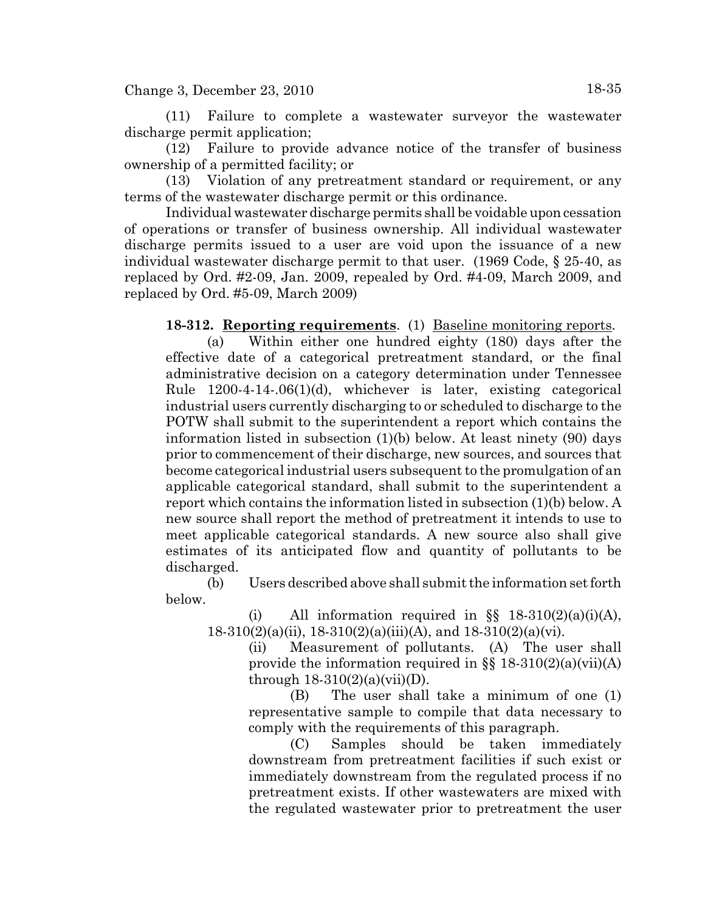(11) Failure to complete a wastewater surveyor the wastewater discharge permit application;

(12) Failure to provide advance notice of the transfer of business ownership of a permitted facility; or

(13) Violation of any pretreatment standard or requirement, or any terms of the wastewater discharge permit or this ordinance.

Individual wastewater discharge permits shall be voidable upon cessation of operations or transfer of business ownership. All individual wastewater discharge permits issued to a user are void upon the issuance of a new individual wastewater discharge permit to that user. (1969 Code, § 25-40, as replaced by Ord. #2-09, Jan. 2009, repealed by Ord. #4-09, March 2009, and replaced by Ord. #5-09, March 2009)

**18-312. Reporting requirements**. (1) Baseline monitoring reports.

(a) Within either one hundred eighty (180) days after the effective date of a categorical pretreatment standard, or the final administrative decision on a category determination under Tennessee Rule 1200-4-14-.06(1)(d), whichever is later, existing categorical industrial users currently discharging to or scheduled to discharge to the POTW shall submit to the superintendent a report which contains the information listed in subsection (1)(b) below. At least ninety (90) days prior to commencement of their discharge, new sources, and sources that become categorical industrial users subsequent to the promulgation of an applicable categorical standard, shall submit to the superintendent a report which contains the information listed in subsection (1)(b) below. A new source shall report the method of pretreatment it intends to use to meet applicable categorical standards. A new source also shall give estimates of its anticipated flow and quantity of pollutants to be discharged.

(b) Users described above shall submit the information set forth below.

(i) All information required in  $\S$   $18-310(2)(a)(i)(A)$ ,  $18-310(2)(a)(ii)$ ,  $18-310(2)(a)(iii)(A)$ , and  $18-310(2)(a)(vi)$ .

(ii) Measurement of pollutants. (A) The user shall provide the information required in  $\S$ § 18-310(2)(a)(vii)(A) through  $18-310(2)(a)(vii)(D)$ .

(B) The user shall take a minimum of one (1) representative sample to compile that data necessary to comply with the requirements of this paragraph.

(C) Samples should be taken immediately downstream from pretreatment facilities if such exist or immediately downstream from the regulated process if no pretreatment exists. If other wastewaters are mixed with the regulated wastewater prior to pretreatment the user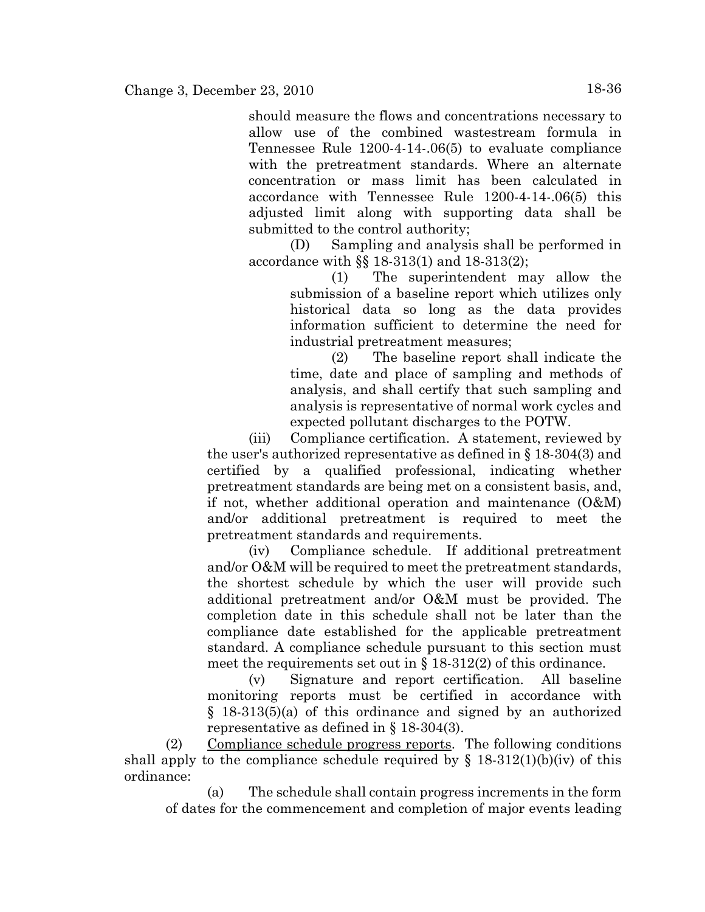should measure the flows and concentrations necessary to allow use of the combined wastestream formula in Tennessee Rule 1200-4-14-.06(5) to evaluate compliance with the pretreatment standards. Where an alternate concentration or mass limit has been calculated in accordance with Tennessee Rule 1200-4-14-.06(5) this adjusted limit along with supporting data shall be submitted to the control authority;

(D) Sampling and analysis shall be performed in accordance with §§ 18-313(1) and 18-313(2);

> (1) The superintendent may allow the submission of a baseline report which utilizes only historical data so long as the data provides information sufficient to determine the need for industrial pretreatment measures;

> (2) The baseline report shall indicate the time, date and place of sampling and methods of analysis, and shall certify that such sampling and analysis is representative of normal work cycles and expected pollutant discharges to the POTW.

(iii) Compliance certification. A statement, reviewed by the user's authorized representative as defined in § 18-304(3) and certified by a qualified professional, indicating whether pretreatment standards are being met on a consistent basis, and, if not, whether additional operation and maintenance (O&M) and/or additional pretreatment is required to meet the pretreatment standards and requirements.

(iv) Compliance schedule. If additional pretreatment and/or O&M will be required to meet the pretreatment standards, the shortest schedule by which the user will provide such additional pretreatment and/or O&M must be provided. The completion date in this schedule shall not be later than the compliance date established for the applicable pretreatment standard. A compliance schedule pursuant to this section must meet the requirements set out in § 18-312(2) of this ordinance.

(v) Signature and report certification. All baseline monitoring reports must be certified in accordance with § 18-313(5)(a) of this ordinance and signed by an authorized representative as defined in § 18-304(3).

(2) Compliance schedule progress reports. The following conditions shall apply to the compliance schedule required by  $\S$  18-312(1)(b)(iv) of this ordinance:

(a) The schedule shall contain progress increments in the form of dates for the commencement and completion of major events leading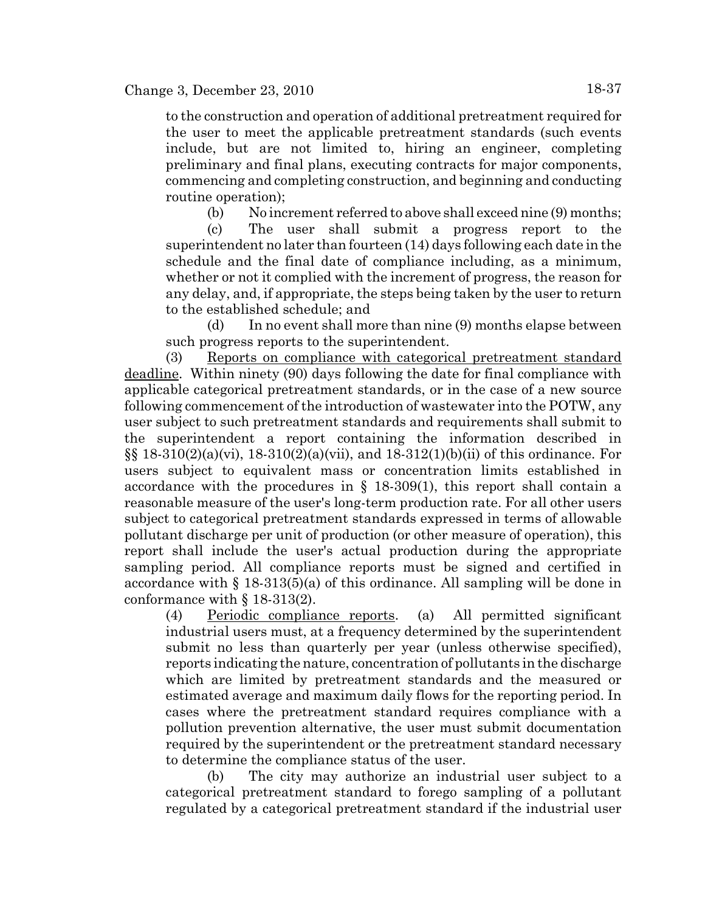to the construction and operation of additional pretreatment required for the user to meet the applicable pretreatment standards (such events include, but are not limited to, hiring an engineer, completing preliminary and final plans, executing contracts for major components, commencing and completing construction, and beginning and conducting routine operation);

(b) No increment referred to above shall exceed nine (9) months;

(c) The user shall submit a progress report to the superintendent no later than fourteen (14) days following each date in the schedule and the final date of compliance including, as a minimum, whether or not it complied with the increment of progress, the reason for any delay, and, if appropriate, the steps being taken by the user to return to the established schedule; and

(d) In no event shall more than nine (9) months elapse between such progress reports to the superintendent.

(3) Reports on compliance with categorical pretreatment standard deadline. Within ninety (90) days following the date for final compliance with applicable categorical pretreatment standards, or in the case of a new source following commencement of the introduction of wastewater into the POTW, any user subject to such pretreatment standards and requirements shall submit to the superintendent a report containing the information described in §§ 18-310(2)(a)(vi), 18-310(2)(a)(vii), and 18-312(1)(b)(ii) of this ordinance. For users subject to equivalent mass or concentration limits established in accordance with the procedures in  $\S$  18-309(1), this report shall contain a reasonable measure of the user's long-term production rate. For all other users subject to categorical pretreatment standards expressed in terms of allowable pollutant discharge per unit of production (or other measure of operation), this report shall include the user's actual production during the appropriate sampling period. All compliance reports must be signed and certified in accordance with  $\S 18-313(5)(a)$  of this ordinance. All sampling will be done in conformance with § 18-313(2).

(4) Periodic compliance reports. (a) All permitted significant industrial users must, at a frequency determined by the superintendent submit no less than quarterly per year (unless otherwise specified), reports indicating the nature, concentration of pollutants in the discharge which are limited by pretreatment standards and the measured or estimated average and maximum daily flows for the reporting period. In cases where the pretreatment standard requires compliance with a pollution prevention alternative, the user must submit documentation required by the superintendent or the pretreatment standard necessary to determine the compliance status of the user.

(b) The city may authorize an industrial user subject to a categorical pretreatment standard to forego sampling of a pollutant regulated by a categorical pretreatment standard if the industrial user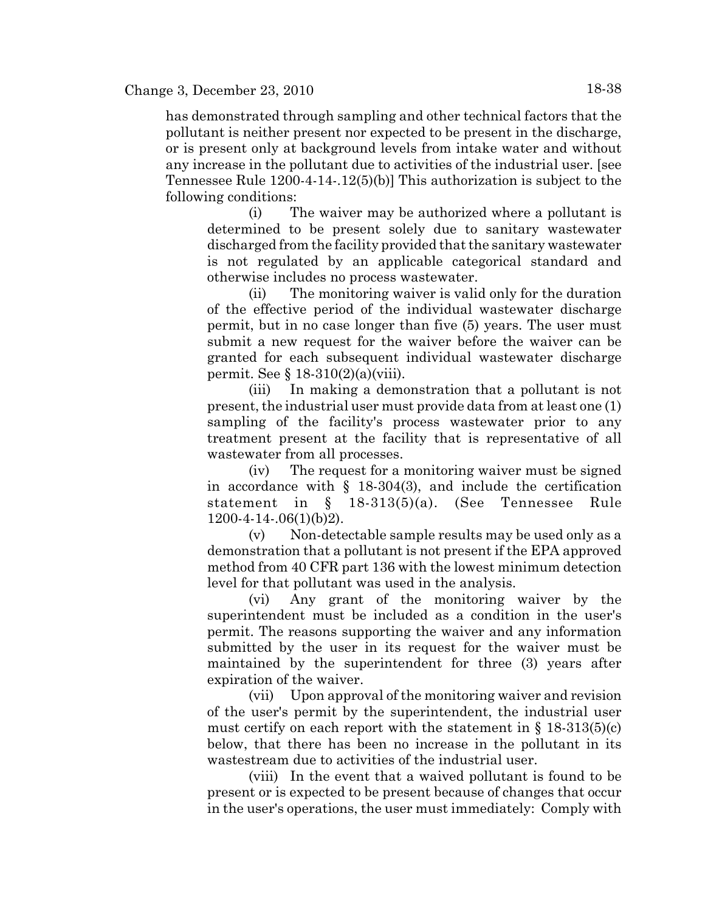has demonstrated through sampling and other technical factors that the pollutant is neither present nor expected to be present in the discharge, or is present only at background levels from intake water and without any increase in the pollutant due to activities of the industrial user. [see Tennessee Rule 1200-4-14-.12(5)(b)] This authorization is subject to the following conditions:

(i) The waiver may be authorized where a pollutant is determined to be present solely due to sanitary wastewater discharged from the facility provided that the sanitary wastewater is not regulated by an applicable categorical standard and otherwise includes no process wastewater.

(ii) The monitoring waiver is valid only for the duration of the effective period of the individual wastewater discharge permit, but in no case longer than five (5) years. The user must submit a new request for the waiver before the waiver can be granted for each subsequent individual wastewater discharge permit. See § 18-310(2)(a)(viii).

(iii) In making a demonstration that a pollutant is not present, the industrial user must provide data from at least one (1) sampling of the facility's process wastewater prior to any treatment present at the facility that is representative of all wastewater from all processes.

(iv) The request for a monitoring waiver must be signed in accordance with  $\S$  18-304(3), and include the certification statement in § 18-313(5)(a). (See Tennessee Rule 1200-4-14-.06(1)(b)2).

(v) Non-detectable sample results may be used only as a demonstration that a pollutant is not present if the EPA approved method from 40 CFR part 136 with the lowest minimum detection level for that pollutant was used in the analysis.

(vi) Any grant of the monitoring waiver by the superintendent must be included as a condition in the user's permit. The reasons supporting the waiver and any information submitted by the user in its request for the waiver must be maintained by the superintendent for three (3) years after expiration of the waiver.

(vii) Upon approval of the monitoring waiver and revision of the user's permit by the superintendent, the industrial user must certify on each report with the statement in  $\S$  18-313(5)(c) below, that there has been no increase in the pollutant in its wastestream due to activities of the industrial user.

(viii) In the event that a waived pollutant is found to be present or is expected to be present because of changes that occur in the user's operations, the user must immediately: Comply with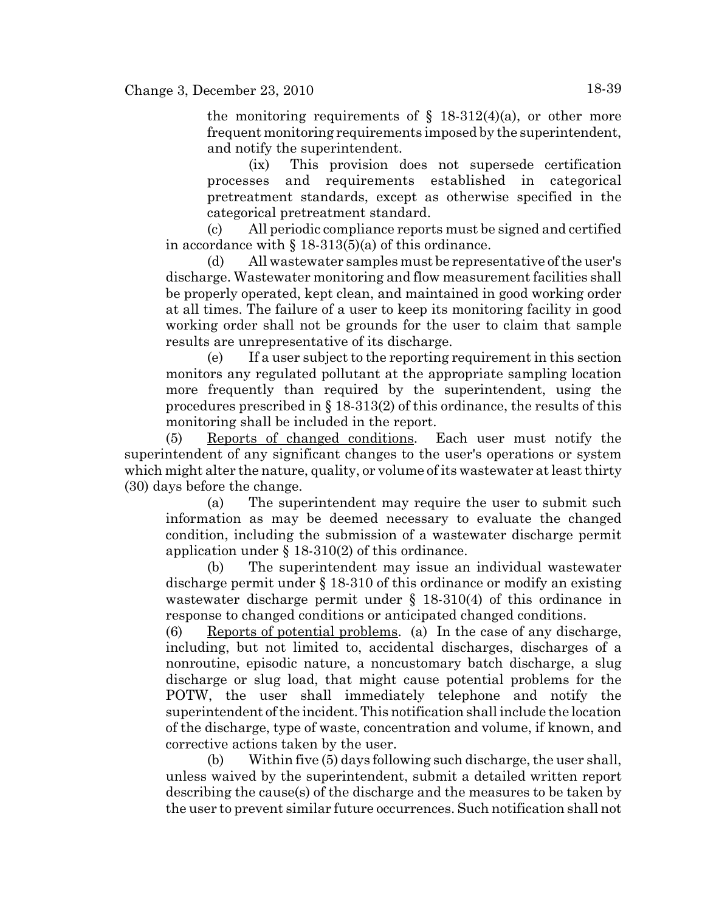the monitoring requirements of  $\S$  18-312(4)(a), or other more frequent monitoring requirements imposed by the superintendent, and notify the superintendent.

(ix) This provision does not supersede certification processes and requirements established in categorical pretreatment standards, except as otherwise specified in the categorical pretreatment standard.

(c) All periodic compliance reports must be signed and certified in accordance with  $\S$  18-313(5)(a) of this ordinance.

(d) All wastewater samples must be representative of the user's discharge. Wastewater monitoring and flow measurement facilities shall be properly operated, kept clean, and maintained in good working order at all times. The failure of a user to keep its monitoring facility in good working order shall not be grounds for the user to claim that sample results are unrepresentative of its discharge.

(e) If a user subject to the reporting requirement in this section monitors any regulated pollutant at the appropriate sampling location more frequently than required by the superintendent, using the procedures prescribed in  $\S$  18-313(2) of this ordinance, the results of this monitoring shall be included in the report.

(5) Reports of changed conditions. Each user must notify the superintendent of any significant changes to the user's operations or system which might alter the nature, quality, or volume of its wastewater at least thirty (30) days before the change.

(a) The superintendent may require the user to submit such information as may be deemed necessary to evaluate the changed condition, including the submission of a wastewater discharge permit application under  $\S 18-310(2)$  of this ordinance.

(b) The superintendent may issue an individual wastewater discharge permit under § 18-310 of this ordinance or modify an existing wastewater discharge permit under § 18-310(4) of this ordinance in response to changed conditions or anticipated changed conditions.

(6) Reports of potential problems. (a) In the case of any discharge, including, but not limited to, accidental discharges, discharges of a nonroutine, episodic nature, a noncustomary batch discharge, a slug discharge or slug load, that might cause potential problems for the POTW, the user shall immediately telephone and notify the superintendent of the incident. This notification shall include the location of the discharge, type of waste, concentration and volume, if known, and corrective actions taken by the user.

(b) Within five (5) days following such discharge, the user shall, unless waived by the superintendent, submit a detailed written report describing the cause(s) of the discharge and the measures to be taken by the user to prevent similar future occurrences. Such notification shall not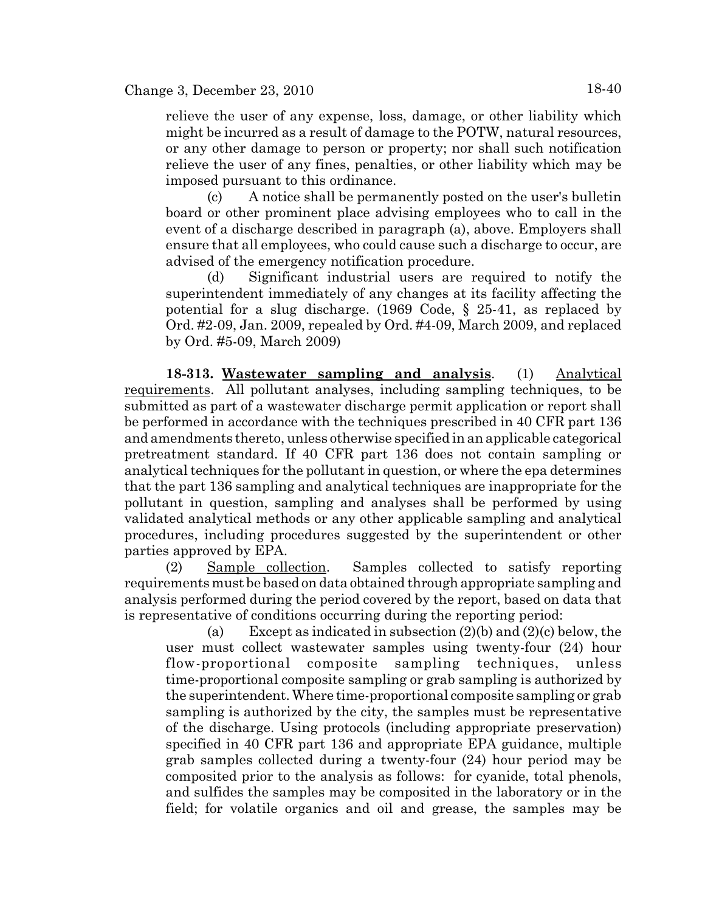relieve the user of any expense, loss, damage, or other liability which might be incurred as a result of damage to the POTW, natural resources, or any other damage to person or property; nor shall such notification relieve the user of any fines, penalties, or other liability which may be imposed pursuant to this ordinance.

(c) A notice shall be permanently posted on the user's bulletin board or other prominent place advising employees who to call in the event of a discharge described in paragraph (a), above. Employers shall ensure that all employees, who could cause such a discharge to occur, are advised of the emergency notification procedure.

(d) Significant industrial users are required to notify the superintendent immediately of any changes at its facility affecting the potential for a slug discharge. (1969 Code, § 25-41, as replaced by Ord. #2-09, Jan. 2009, repealed by Ord. #4-09, March 2009, and replaced by Ord. #5-09, March 2009)

**18-313. Wastewater sampling and analysis**. (1) Analytical requirements. All pollutant analyses, including sampling techniques, to be submitted as part of a wastewater discharge permit application or report shall be performed in accordance with the techniques prescribed in 40 CFR part 136 and amendments thereto, unless otherwise specified in an applicable categorical pretreatment standard. If 40 CFR part 136 does not contain sampling or analytical techniques for the pollutant in question, or where the epa determines that the part 136 sampling and analytical techniques are inappropriate for the pollutant in question, sampling and analyses shall be performed by using validated analytical methods or any other applicable sampling and analytical procedures, including procedures suggested by the superintendent or other parties approved by EPA.

(2) Sample collection. Samples collected to satisfy reporting requirements must be based on data obtained through appropriate sampling and analysis performed during the period covered by the report, based on data that is representative of conditions occurring during the reporting period:

(a) Except as indicated in subsection (2)(b) and (2)(c) below, the user must collect wastewater samples using twenty-four (24) hour flow-proportional composite sampling techniques, unless time-proportional composite sampling or grab sampling is authorized by the superintendent. Where time-proportional composite sampling or grab sampling is authorized by the city, the samples must be representative of the discharge. Using protocols (including appropriate preservation) specified in 40 CFR part 136 and appropriate EPA guidance, multiple grab samples collected during a twenty-four (24) hour period may be composited prior to the analysis as follows: for cyanide, total phenols, and sulfides the samples may be composited in the laboratory or in the field; for volatile organics and oil and grease, the samples may be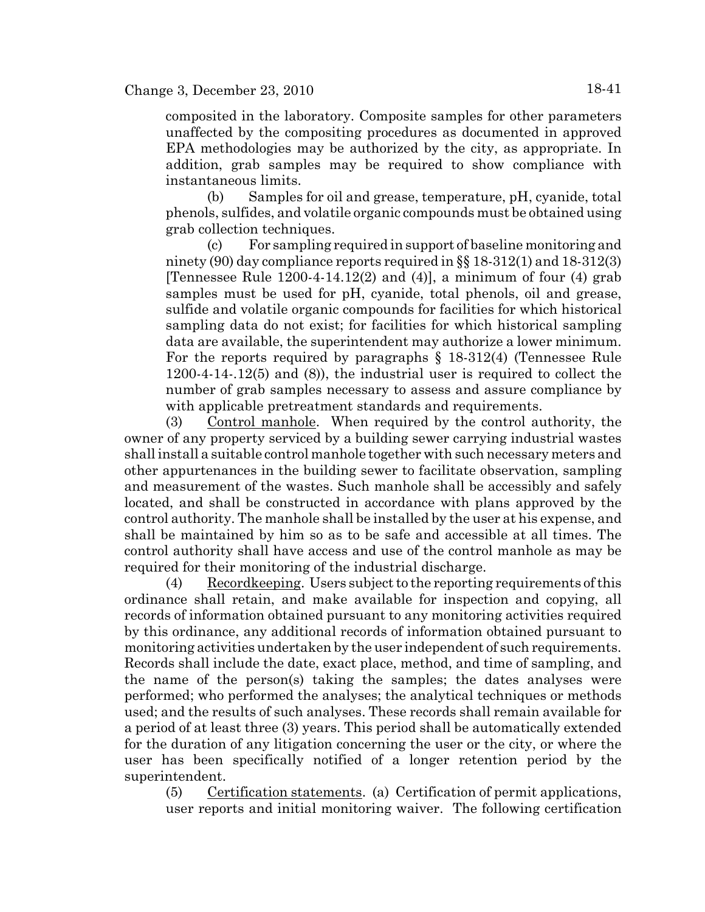composited in the laboratory. Composite samples for other parameters unaffected by the compositing procedures as documented in approved EPA methodologies may be authorized by the city, as appropriate. In addition, grab samples may be required to show compliance with instantaneous limits.

(b) Samples for oil and grease, temperature, pH, cyanide, total phenols, sulfides, and volatile organic compounds must be obtained using grab collection techniques.

(c) For sampling required in support of baseline monitoring and ninety (90) day compliance reports required in §§ 18-312(1) and 18-312(3) [Tennessee Rule  $1200-4-14.12(2)$  and (4)], a minimum of four (4) grab samples must be used for pH, cyanide, total phenols, oil and grease, sulfide and volatile organic compounds for facilities for which historical sampling data do not exist; for facilities for which historical sampling data are available, the superintendent may authorize a lower minimum. For the reports required by paragraphs § 18-312(4) (Tennessee Rule 1200-4-14-.12(5) and (8)), the industrial user is required to collect the number of grab samples necessary to assess and assure compliance by with applicable pretreatment standards and requirements.

(3) Control manhole. When required by the control authority, the owner of any property serviced by a building sewer carrying industrial wastes shall install a suitable control manhole together with such necessary meters and other appurtenances in the building sewer to facilitate observation, sampling and measurement of the wastes. Such manhole shall be accessibly and safely located, and shall be constructed in accordance with plans approved by the control authority. The manhole shall be installed by the user at his expense, and shall be maintained by him so as to be safe and accessible at all times. The control authority shall have access and use of the control manhole as may be required for their monitoring of the industrial discharge.

(4) Recordkeeping. Users subject to the reporting requirements of this ordinance shall retain, and make available for inspection and copying, all records of information obtained pursuant to any monitoring activities required by this ordinance, any additional records of information obtained pursuant to monitoring activities undertaken by the user independent of such requirements. Records shall include the date, exact place, method, and time of sampling, and the name of the person(s) taking the samples; the dates analyses were performed; who performed the analyses; the analytical techniques or methods used; and the results of such analyses. These records shall remain available for a period of at least three (3) years. This period shall be automatically extended for the duration of any litigation concerning the user or the city, or where the user has been specifically notified of a longer retention period by the superintendent.

(5) Certification statements. (a) Certification of permit applications, user reports and initial monitoring waiver. The following certification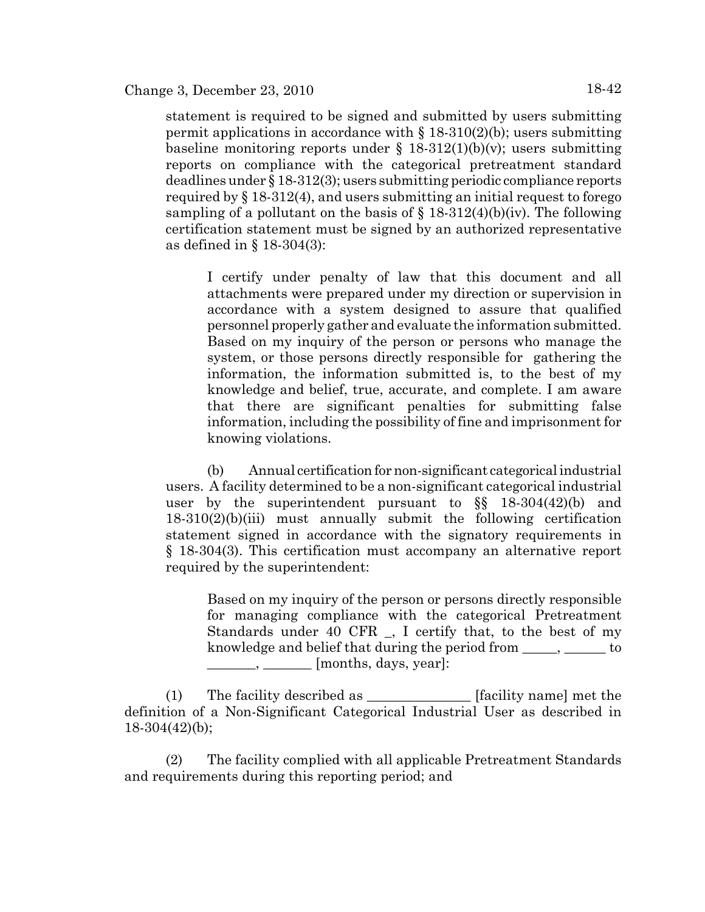statement is required to be signed and submitted by users submitting permit applications in accordance with  $\S 18-310(2)(b)$ ; users submitting baseline monitoring reports under  $\S$  18-312(1)(b)(v); users submitting reports on compliance with the categorical pretreatment standard deadlines under § 18-312(3); users submitting periodic compliance reports required by § 18-312(4), and users submitting an initial request to forego sampling of a pollutant on the basis of  $\S$  18-312(4)(b)(iv). The following certification statement must be signed by an authorized representative as defined in § 18-304(3):

I certify under penalty of law that this document and all attachments were prepared under my direction or supervision in accordance with a system designed to assure that qualified personnel properly gather and evaluate the information submitted. Based on my inquiry of the person or persons who manage the system, or those persons directly responsible for gathering the information, the information submitted is, to the best of my knowledge and belief, true, accurate, and complete. I am aware that there are significant penalties for submitting false information, including the possibility of fine and imprisonment for knowing violations.

(b) Annual certification for non-significant categorical industrial users. A facility determined to be a non-significant categorical industrial user by the superintendent pursuant to §§ 18-304(42)(b) and 18-310(2)(b)(iii) must annually submit the following certification statement signed in accordance with the signatory requirements in § 18-304(3). This certification must accompany an alternative report required by the superintendent:

Based on my inquiry of the person or persons directly responsible for managing compliance with the categorical Pretreatment Standards under 40 CFR \_, I certify that, to the best of my knowledge and belief that during the period from  $\qquad, \qquad$  to \_\_\_\_\_\_\_, \_\_\_\_\_\_\_ [months, days, year]:

(1) The facility described as \_\_\_\_\_\_\_\_\_\_\_\_\_\_\_ [facility name] met the definition of a Non-Significant Categorical Industrial User as described in 18-304(42)(b);

(2) The facility complied with all applicable Pretreatment Standards and requirements during this reporting period; and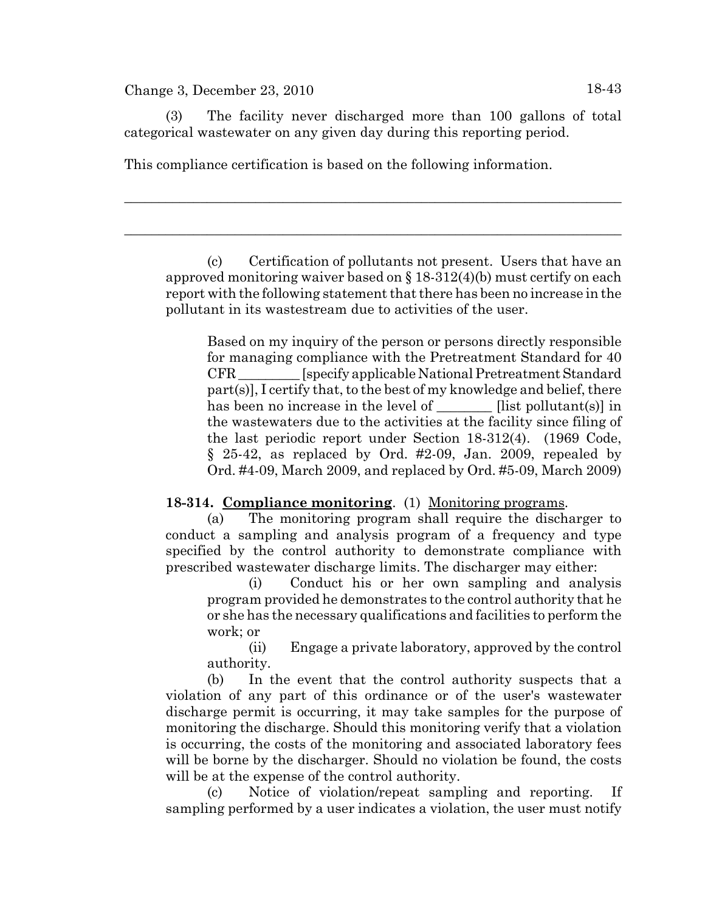The facility never discharged more than 100 gallons of total categorical wastewater on any given day during this reporting period.

 $\_$  , and the set of the set of the set of the set of the set of the set of the set of the set of the set of the set of the set of the set of the set of the set of the set of the set of the set of the set of the set of th

 $\_$  , and the set of the set of the set of the set of the set of the set of the set of the set of the set of the set of the set of the set of the set of the set of the set of the set of the set of the set of the set of th

This compliance certification is based on the following information.

(c) Certification of pollutants not present. Users that have an approved monitoring waiver based on  $\S 18-312(4)(b)$  must certify on each report with the following statement that there has been no increase in the pollutant in its wastestream due to activities of the user.

Based on my inquiry of the person or persons directly responsible for managing compliance with the Pretreatment Standard for 40 CFR \_\_\_\_\_\_\_\_\_ [specify applicable National Pretreatment Standard part(s)], I certify that, to the best of my knowledge and belief, there has been no increase in the level of \_\_\_\_\_\_\_\_ [list pollutant(s)] in the wastewaters due to the activities at the facility since filing of the last periodic report under Section 18-312(4). (1969 Code,  $\S$  25-42, as replaced by Ord. #2-09, Jan. 2009, repealed by Ord. #4-09, March 2009, and replaced by Ord. #5-09, March 2009)

### **18-314. Compliance monitoring**. (1) Monitoring programs.

(a) The monitoring program shall require the discharger to conduct a sampling and analysis program of a frequency and type specified by the control authority to demonstrate compliance with prescribed wastewater discharge limits. The discharger may either:

(i) Conduct his or her own sampling and analysis program provided he demonstrates to the control authority that he or she has the necessary qualifications and facilities to perform the work; or

(ii) Engage a private laboratory, approved by the control authority.

(b) In the event that the control authority suspects that a violation of any part of this ordinance or of the user's wastewater discharge permit is occurring, it may take samples for the purpose of monitoring the discharge. Should this monitoring verify that a violation is occurring, the costs of the monitoring and associated laboratory fees will be borne by the discharger. Should no violation be found, the costs will be at the expense of the control authority.

(c) Notice of violation/repeat sampling and reporting. If sampling performed by a user indicates a violation, the user must notify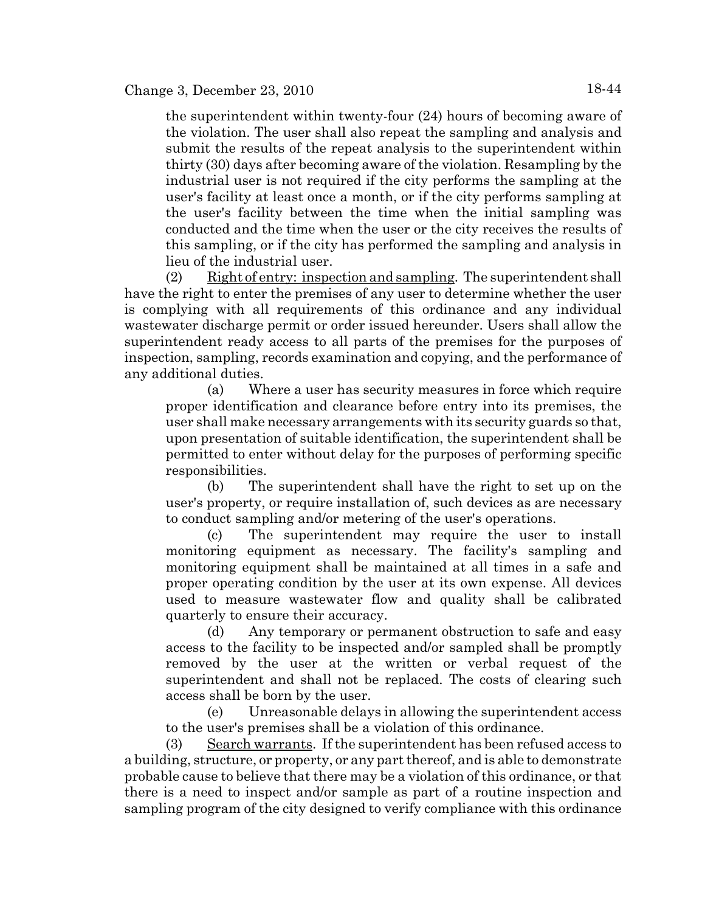the superintendent within twenty-four (24) hours of becoming aware of the violation. The user shall also repeat the sampling and analysis and submit the results of the repeat analysis to the superintendent within thirty (30) days after becoming aware of the violation. Resampling by the industrial user is not required if the city performs the sampling at the user's facility at least once a month, or if the city performs sampling at the user's facility between the time when the initial sampling was conducted and the time when the user or the city receives the results of this sampling, or if the city has performed the sampling and analysis in lieu of the industrial user.

(2) Right of entry: inspection and sampling. The superintendent shall have the right to enter the premises of any user to determine whether the user is complying with all requirements of this ordinance and any individual wastewater discharge permit or order issued hereunder. Users shall allow the superintendent ready access to all parts of the premises for the purposes of inspection, sampling, records examination and copying, and the performance of any additional duties.

(a) Where a user has security measures in force which require proper identification and clearance before entry into its premises, the user shall make necessary arrangements with its security guards so that, upon presentation of suitable identification, the superintendent shall be permitted to enter without delay for the purposes of performing specific responsibilities.

(b) The superintendent shall have the right to set up on the user's property, or require installation of, such devices as are necessary to conduct sampling and/or metering of the user's operations.

(c) The superintendent may require the user to install monitoring equipment as necessary. The facility's sampling and monitoring equipment shall be maintained at all times in a safe and proper operating condition by the user at its own expense. All devices used to measure wastewater flow and quality shall be calibrated quarterly to ensure their accuracy.

(d) Any temporary or permanent obstruction to safe and easy access to the facility to be inspected and/or sampled shall be promptly removed by the user at the written or verbal request of the superintendent and shall not be replaced. The costs of clearing such access shall be born by the user.

(e) Unreasonable delays in allowing the superintendent access to the user's premises shall be a violation of this ordinance.

Search warrants. If the superintendent has been refused access to a building, structure, or property, or any part thereof, and is able to demonstrate probable cause to believe that there may be a violation of this ordinance, or that there is a need to inspect and/or sample as part of a routine inspection and sampling program of the city designed to verify compliance with this ordinance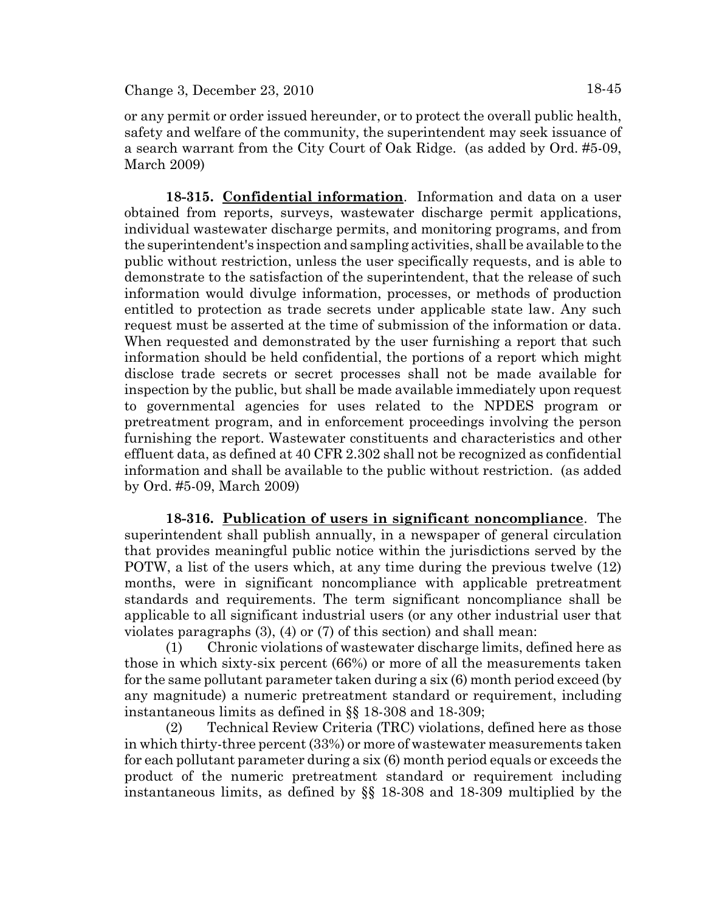or any permit or order issued hereunder, or to protect the overall public health, safety and welfare of the community, the superintendent may seek issuance of a search warrant from the City Court of Oak Ridge. (as added by Ord. #5-09, March 2009)

**18-315. Confidential information**. Information and data on a user obtained from reports, surveys, wastewater discharge permit applications, individual wastewater discharge permits, and monitoring programs, and from the superintendent's inspection and sampling activities, shall be available to the public without restriction, unless the user specifically requests, and is able to demonstrate to the satisfaction of the superintendent, that the release of such information would divulge information, processes, or methods of production entitled to protection as trade secrets under applicable state law. Any such request must be asserted at the time of submission of the information or data. When requested and demonstrated by the user furnishing a report that such information should be held confidential, the portions of a report which might disclose trade secrets or secret processes shall not be made available for inspection by the public, but shall be made available immediately upon request to governmental agencies for uses related to the NPDES program or pretreatment program, and in enforcement proceedings involving the person furnishing the report. Wastewater constituents and characteristics and other effluent data, as defined at 40 CFR 2.302 shall not be recognized as confidential information and shall be available to the public without restriction. (as added by Ord. #5-09, March 2009)

**18-316. Publication of users in significant noncompliance**. The superintendent shall publish annually, in a newspaper of general circulation that provides meaningful public notice within the jurisdictions served by the POTW, a list of the users which, at any time during the previous twelve (12) months, were in significant noncompliance with applicable pretreatment standards and requirements. The term significant noncompliance shall be applicable to all significant industrial users (or any other industrial user that violates paragraphs (3), (4) or (7) of this section) and shall mean:

(1) Chronic violations of wastewater discharge limits, defined here as those in which sixty-six percent (66%) or more of all the measurements taken for the same pollutant parameter taken during a six (6) month period exceed (by any magnitude) a numeric pretreatment standard or requirement, including instantaneous limits as defined in §§ 18-308 and 18-309;

(2) Technical Review Criteria (TRC) violations, defined here as those in which thirty-three percent (33%) or more of wastewater measurements taken for each pollutant parameter during a six (6) month period equals or exceeds the product of the numeric pretreatment standard or requirement including instantaneous limits, as defined by §§ 18-308 and 18-309 multiplied by the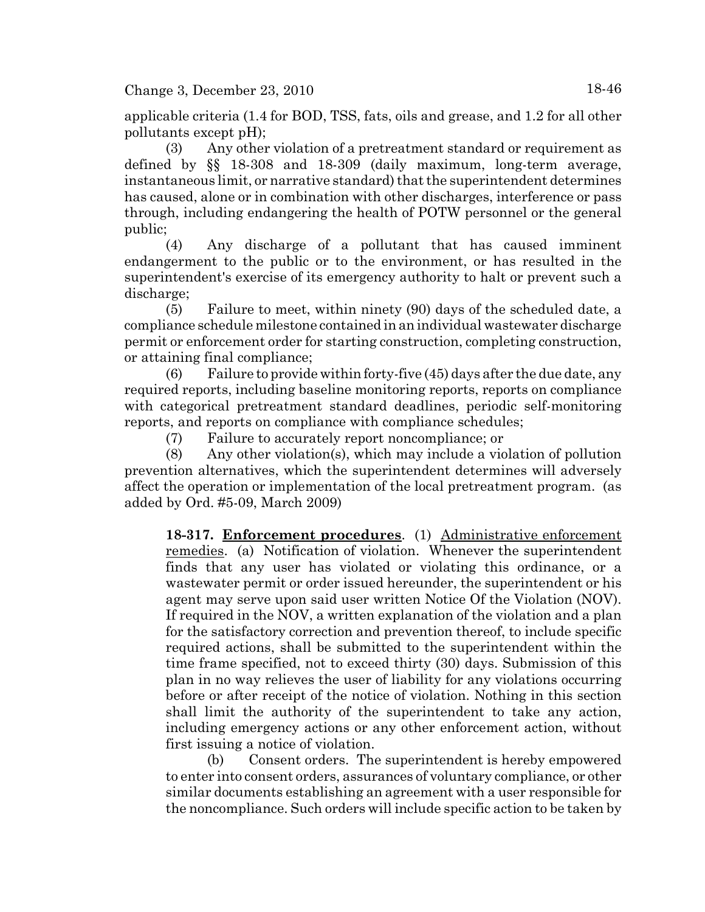applicable criteria (1.4 for BOD, TSS, fats, oils and grease, and 1.2 for all other pollutants except pH);

(3) Any other violation of a pretreatment standard or requirement as defined by §§ 18-308 and 18-309 (daily maximum, long-term average, instantaneous limit, or narrative standard) that the superintendent determines has caused, alone or in combination with other discharges, interference or pass through, including endangering the health of POTW personnel or the general public;

(4) Any discharge of a pollutant that has caused imminent endangerment to the public or to the environment, or has resulted in the superintendent's exercise of its emergency authority to halt or prevent such a discharge;

(5) Failure to meet, within ninety (90) days of the scheduled date, a compliance schedule milestone contained in an individual wastewater discharge permit or enforcement order for starting construction, completing construction, or attaining final compliance;

(6) Failure to provide within forty-five (45) days after the due date, any required reports, including baseline monitoring reports, reports on compliance with categorical pretreatment standard deadlines, periodic self-monitoring reports, and reports on compliance with compliance schedules;

(7) Failure to accurately report noncompliance; or

(8) Any other violation(s), which may include a violation of pollution prevention alternatives, which the superintendent determines will adversely affect the operation or implementation of the local pretreatment program. (as added by Ord. #5-09, March 2009)

**18-317. Enforcement procedures**. (1) Administrative enforcement remedies. (a) Notification of violation. Whenever the superintendent finds that any user has violated or violating this ordinance, or a wastewater permit or order issued hereunder, the superintendent or his agent may serve upon said user written Notice Of the Violation (NOV). If required in the NOV, a written explanation of the violation and a plan for the satisfactory correction and prevention thereof, to include specific required actions, shall be submitted to the superintendent within the time frame specified, not to exceed thirty (30) days. Submission of this plan in no way relieves the user of liability for any violations occurring before or after receipt of the notice of violation. Nothing in this section shall limit the authority of the superintendent to take any action, including emergency actions or any other enforcement action, without first issuing a notice of violation.

(b) Consent orders. The superintendent is hereby empowered to enter into consent orders, assurances of voluntary compliance, or other similar documents establishing an agreement with a user responsible for the noncompliance. Such orders will include specific action to be taken by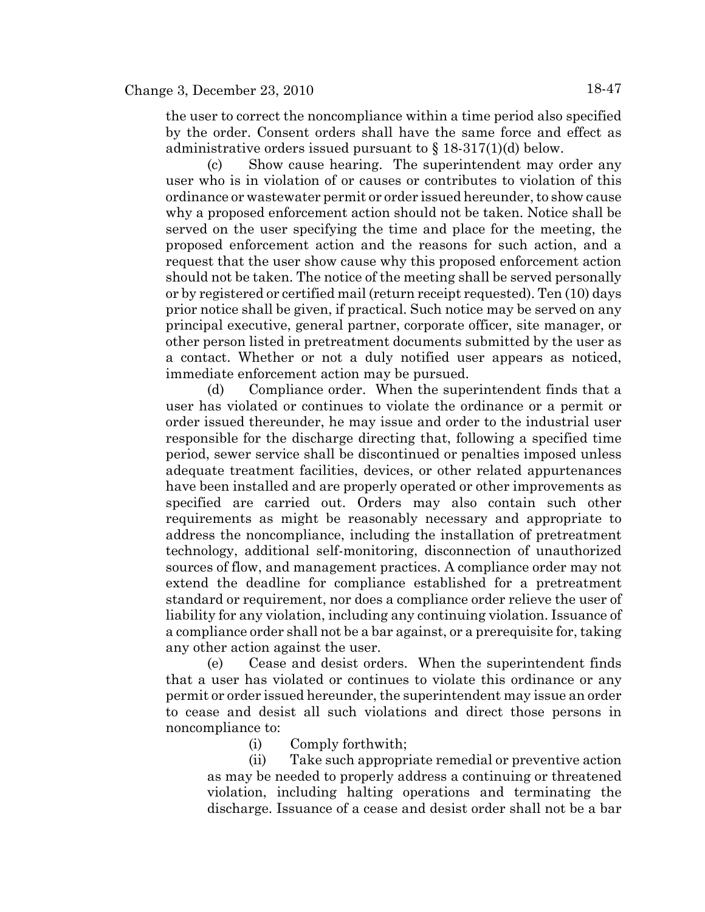the user to correct the noncompliance within a time period also specified by the order. Consent orders shall have the same force and effect as administrative orders issued pursuant to  $\S 18-317(1)(d)$  below.

(c) Show cause hearing. The superintendent may order any user who is in violation of or causes or contributes to violation of this ordinance or wastewater permit or order issued hereunder, to show cause why a proposed enforcement action should not be taken. Notice shall be served on the user specifying the time and place for the meeting, the proposed enforcement action and the reasons for such action, and a request that the user show cause why this proposed enforcement action should not be taken. The notice of the meeting shall be served personally or by registered or certified mail (return receipt requested). Ten (10) days prior notice shall be given, if practical. Such notice may be served on any principal executive, general partner, corporate officer, site manager, or other person listed in pretreatment documents submitted by the user as a contact. Whether or not a duly notified user appears as noticed, immediate enforcement action may be pursued.

(d) Compliance order. When the superintendent finds that a user has violated or continues to violate the ordinance or a permit or order issued thereunder, he may issue and order to the industrial user responsible for the discharge directing that, following a specified time period, sewer service shall be discontinued or penalties imposed unless adequate treatment facilities, devices, or other related appurtenances have been installed and are properly operated or other improvements as specified are carried out. Orders may also contain such other requirements as might be reasonably necessary and appropriate to address the noncompliance, including the installation of pretreatment technology, additional self-monitoring, disconnection of unauthorized sources of flow, and management practices. A compliance order may not extend the deadline for compliance established for a pretreatment standard or requirement, nor does a compliance order relieve the user of liability for any violation, including any continuing violation. Issuance of a compliance order shall not be a bar against, or a prerequisite for, taking any other action against the user.

(e) Cease and desist orders. When the superintendent finds that a user has violated or continues to violate this ordinance or any permit or order issued hereunder, the superintendent may issue an order to cease and desist all such violations and direct those persons in noncompliance to:

(i) Comply forthwith;

(ii) Take such appropriate remedial or preventive action as may be needed to properly address a continuing or threatened violation, including halting operations and terminating the discharge. Issuance of a cease and desist order shall not be a bar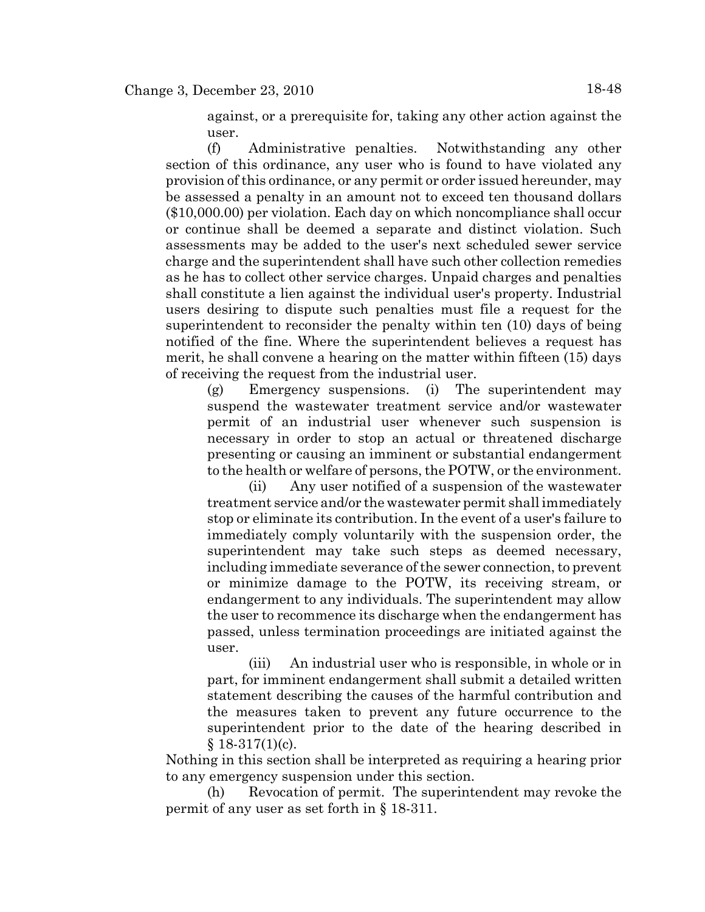against, or a prerequisite for, taking any other action against the user.

(f) Administrative penalties. Notwithstanding any other section of this ordinance, any user who is found to have violated any provision of this ordinance, or any permit or order issued hereunder, may be assessed a penalty in an amount not to exceed ten thousand dollars (\$10,000.00) per violation. Each day on which noncompliance shall occur or continue shall be deemed a separate and distinct violation. Such assessments may be added to the user's next scheduled sewer service charge and the superintendent shall have such other collection remedies as he has to collect other service charges. Unpaid charges and penalties shall constitute a lien against the individual user's property. Industrial users desiring to dispute such penalties must file a request for the superintendent to reconsider the penalty within ten (10) days of being notified of the fine. Where the superintendent believes a request has merit, he shall convene a hearing on the matter within fifteen (15) days of receiving the request from the industrial user.

(g) Emergency suspensions. (i) The superintendent may suspend the wastewater treatment service and/or wastewater permit of an industrial user whenever such suspension is necessary in order to stop an actual or threatened discharge presenting or causing an imminent or substantial endangerment to the health or welfare of persons, the POTW, or the environment.

(ii) Any user notified of a suspension of the wastewater treatment service and/or the wastewater permit shall immediately stop or eliminate its contribution. In the event of a user's failure to immediately comply voluntarily with the suspension order, the superintendent may take such steps as deemed necessary, including immediate severance of the sewer connection, to prevent or minimize damage to the POTW, its receiving stream, or endangerment to any individuals. The superintendent may allow the user to recommence its discharge when the endangerment has passed, unless termination proceedings are initiated against the user.

(iii) An industrial user who is responsible, in whole or in part, for imminent endangerment shall submit a detailed written statement describing the causes of the harmful contribution and the measures taken to prevent any future occurrence to the superintendent prior to the date of the hearing described in  $$18-317(1)(c).$ 

Nothing in this section shall be interpreted as requiring a hearing prior to any emergency suspension under this section.

(h) Revocation of permit. The superintendent may revoke the permit of any user as set forth in § 18-311.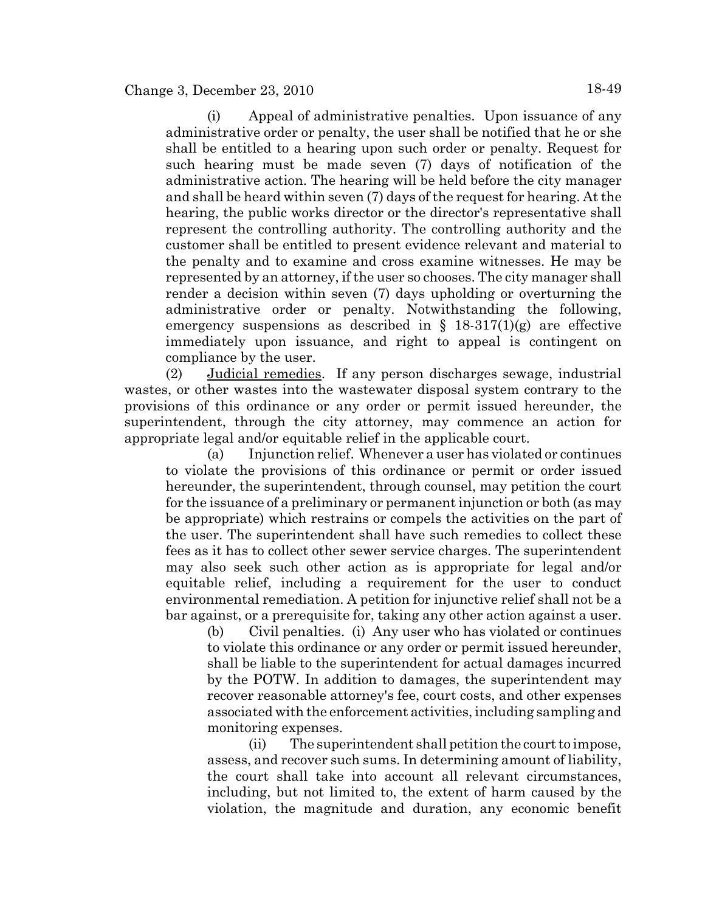(i) Appeal of administrative penalties. Upon issuance of any administrative order or penalty, the user shall be notified that he or she shall be entitled to a hearing upon such order or penalty. Request for such hearing must be made seven (7) days of notification of the administrative action. The hearing will be held before the city manager and shall be heard within seven (7) days of the request for hearing. At the hearing, the public works director or the director's representative shall represent the controlling authority. The controlling authority and the customer shall be entitled to present evidence relevant and material to the penalty and to examine and cross examine witnesses. He may be represented by an attorney, if the user so chooses. The city manager shall render a decision within seven (7) days upholding or overturning the administrative order or penalty. Notwithstanding the following, emergency suspensions as described in  $\S$  18-317(1)(g) are effective immediately upon issuance, and right to appeal is contingent on compliance by the user.

(2) Judicial remedies. If any person discharges sewage, industrial wastes, or other wastes into the wastewater disposal system contrary to the provisions of this ordinance or any order or permit issued hereunder, the superintendent, through the city attorney, may commence an action for appropriate legal and/or equitable relief in the applicable court.

(a) Injunction relief. Whenever a user has violated or continues to violate the provisions of this ordinance or permit or order issued hereunder, the superintendent, through counsel, may petition the court for the issuance of a preliminary or permanent injunction or both (as may be appropriate) which restrains or compels the activities on the part of the user. The superintendent shall have such remedies to collect these fees as it has to collect other sewer service charges. The superintendent may also seek such other action as is appropriate for legal and/or equitable relief, including a requirement for the user to conduct environmental remediation. A petition for injunctive relief shall not be a bar against, or a prerequisite for, taking any other action against a user.

(b) Civil penalties. (i) Any user who has violated or continues to violate this ordinance or any order or permit issued hereunder, shall be liable to the superintendent for actual damages incurred by the POTW. In addition to damages, the superintendent may recover reasonable attorney's fee, court costs, and other expenses associated with the enforcement activities, including sampling and monitoring expenses.

(ii) The superintendent shall petition the court to impose, assess, and recover such sums. In determining amount of liability, the court shall take into account all relevant circumstances, including, but not limited to, the extent of harm caused by the violation, the magnitude and duration, any economic benefit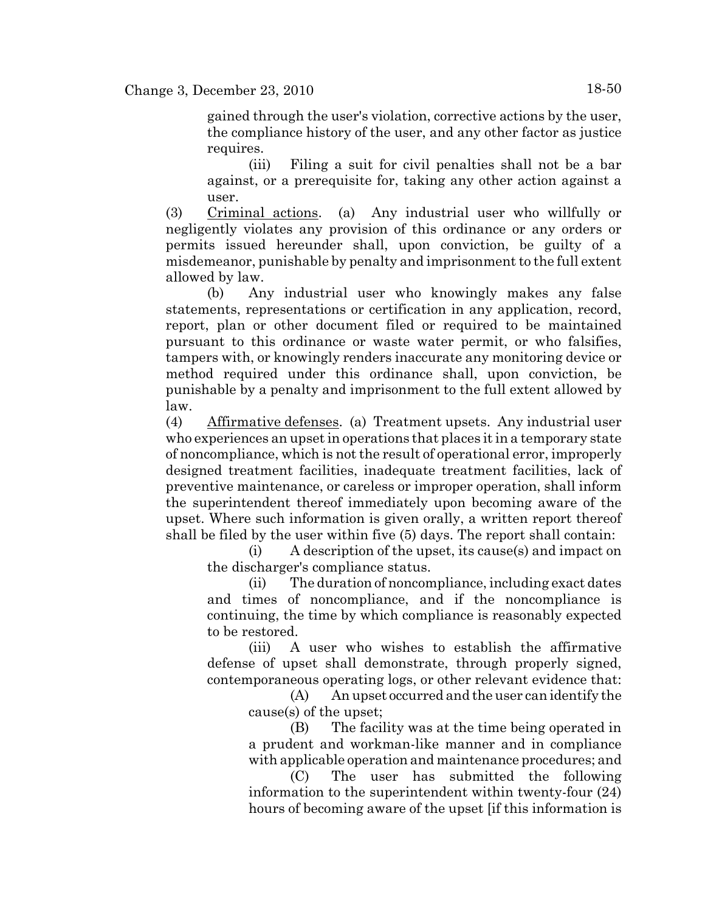gained through the user's violation, corrective actions by the user, the compliance history of the user, and any other factor as justice requires.

(iii) Filing a suit for civil penalties shall not be a bar against, or a prerequisite for, taking any other action against a user.

(3) Criminal actions. (a) Any industrial user who willfully or negligently violates any provision of this ordinance or any orders or permits issued hereunder shall, upon conviction, be guilty of a misdemeanor, punishable by penalty and imprisonment to the full extent allowed by law.

(b) Any industrial user who knowingly makes any false statements, representations or certification in any application, record, report, plan or other document filed or required to be maintained pursuant to this ordinance or waste water permit, or who falsifies, tampers with, or knowingly renders inaccurate any monitoring device or method required under this ordinance shall, upon conviction, be punishable by a penalty and imprisonment to the full extent allowed by law.

(4) Affirmative defenses. (a) Treatment upsets. Any industrial user who experiences an upset in operations that places it in a temporary state of noncompliance, which is not the result of operational error, improperly designed treatment facilities, inadequate treatment facilities, lack of preventive maintenance, or careless or improper operation, shall inform the superintendent thereof immediately upon becoming aware of the upset. Where such information is given orally, a written report thereof shall be filed by the user within five (5) days. The report shall contain:

(i) A description of the upset, its cause(s) and impact on the discharger's compliance status.

(ii) The duration of noncompliance, including exact dates and times of noncompliance, and if the noncompliance is continuing, the time by which compliance is reasonably expected to be restored.

(iii) A user who wishes to establish the affirmative defense of upset shall demonstrate, through properly signed, contemporaneous operating logs, or other relevant evidence that:

(A) An upset occurred and the user can identify the cause(s) of the upset;

(B) The facility was at the time being operated in a prudent and workman-like manner and in compliance with applicable operation and maintenance procedures; and

(C) The user has submitted the following information to the superintendent within twenty-four (24) hours of becoming aware of the upset [if this information is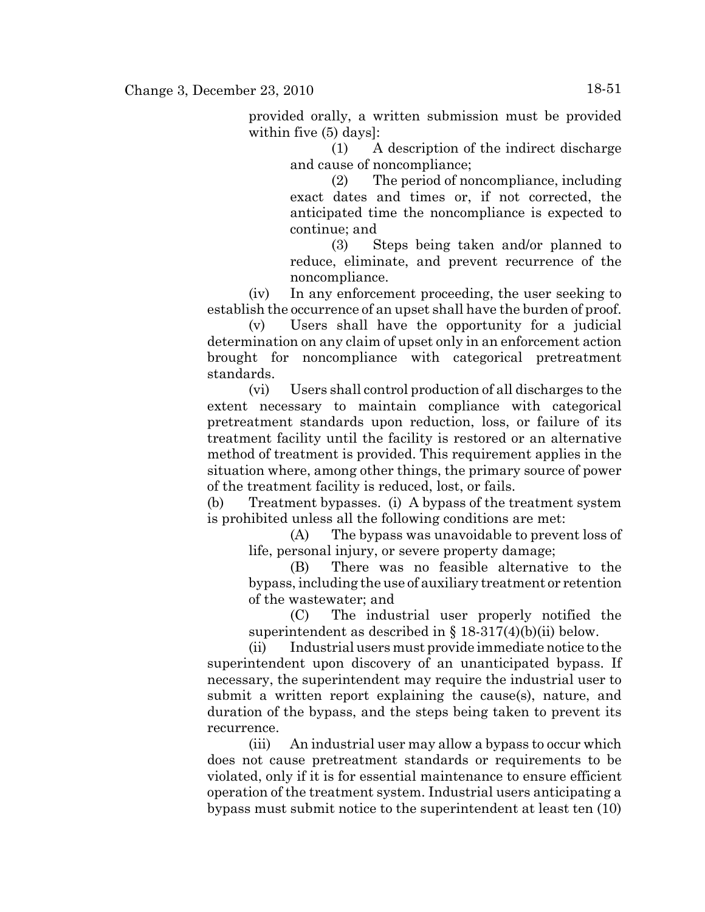provided orally, a written submission must be provided within five (5) days]:

> (1) A description of the indirect discharge and cause of noncompliance;

> (2) The period of noncompliance, including exact dates and times or, if not corrected, the anticipated time the noncompliance is expected to continue; and

> (3) Steps being taken and/or planned to reduce, eliminate, and prevent recurrence of the noncompliance.

(iv) In any enforcement proceeding, the user seeking to establish the occurrence of an upset shall have the burden of proof.

(v) Users shall have the opportunity for a judicial determination on any claim of upset only in an enforcement action brought for noncompliance with categorical pretreatment standards.

(vi) Users shall control production of all discharges to the extent necessary to maintain compliance with categorical pretreatment standards upon reduction, loss, or failure of its treatment facility until the facility is restored or an alternative method of treatment is provided. This requirement applies in the situation where, among other things, the primary source of power of the treatment facility is reduced, lost, or fails.

(b) Treatment bypasses. (i) A bypass of the treatment system is prohibited unless all the following conditions are met:

(A) The bypass was unavoidable to prevent loss of life, personal injury, or severe property damage;

(B) There was no feasible alternative to the bypass, including the use of auxiliary treatment or retention of the wastewater; and

(C) The industrial user properly notified the superintendent as described in  $\S 18-317(4)(b)(ii)$  below.

(ii) Industrial users must provide immediate notice to the superintendent upon discovery of an unanticipated bypass. If necessary, the superintendent may require the industrial user to submit a written report explaining the cause(s), nature, and duration of the bypass, and the steps being taken to prevent its recurrence.

(iii) An industrial user may allow a bypass to occur which does not cause pretreatment standards or requirements to be violated, only if it is for essential maintenance to ensure efficient operation of the treatment system. Industrial users anticipating a bypass must submit notice to the superintendent at least ten (10)